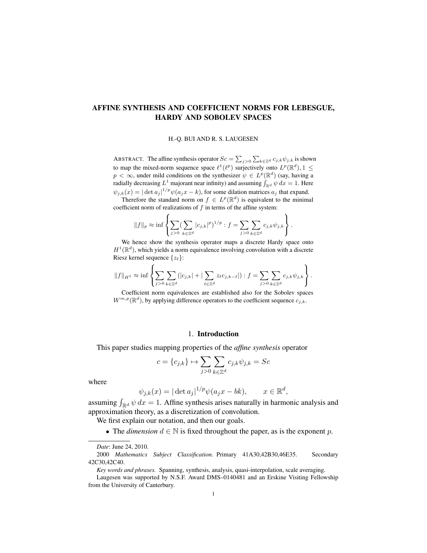### AFFINE SYNTHESIS AND COEFFICIENT NORMS FOR LEBESGUE, HARDY AND SOBOLEV SPACES

H.-Q. BUI AND R. S. LAUGESEN

ABSTRACT. The affine synthesis operator  $Sc = \sum_{j>0} \sum_{k \in \mathbb{Z}^d} c_{j,k} \psi_{j,k}$  is shown to map the mixed-norm sequence space  $\ell^1(\ell^p)$  surjectively onto  $L^p(\mathbb{R}^d)$ ,  $1 \leq$  $p < \infty$ , under mild conditions on the synthesizer  $\psi \in L^p(\mathbb{R}^d)$  (say, having a radially decreasing  $L^1$  majorant near infinity) and assuming  $\int_{\mathbb{R}^d} \psi \, dx = 1$ . Here  $\psi_{j,k}(x) = |\det a_j|^{1/p} \psi(a_j x - k)$ , for some dilation matrices  $a_j$  that expand.

Therefore the standard norm on  $f \in L^p(\mathbb{R}^d)$  is equivalent to the minimal coefficient norm of realizations of  $f$  in terms of the affine system:

$$
||f||_p \approx \inf \left\{ \sum_{j>0} (\sum_{k \in \mathbb{Z}^d} |c_{j,k}|^p)^{1/p} : f = \sum_{j>0} \sum_{k \in \mathbb{Z}^d} c_{j,k} \psi_{j,k} \right\}.
$$

We hence show the synthesis operator maps a discrete Hardy space onto  $H^1(\mathbb{R}^d)$ , which yields a norm equivalence involving convolution with a discrete Riesz kernel sequence  $\{z_{\ell}\}$ :

$$
||f||_{H^1} \approx \inf \left\{ \sum_{j>0} \sum_{k \in \mathbb{Z}^d} (|c_{j,k}| + |\sum_{\ell \in \mathbb{Z}^d} z_{\ell} c_{j,k-\ell}|) : f = \sum_{j>0} \sum_{k \in \mathbb{Z}^d} c_{j,k} \psi_{j,k} \right\}.
$$

Coefficient norm equivalences are established also for the Sobolev spaces  $W^{m,p}(\mathbb{R}^d)$ , by applying difference operators to the coefficient sequence  $c_{j,k}$ .

### 1. Introduction

This paper studies mapping properties of the *affine synthesis* operator

$$
c = \{c_{j,k}\} \mapsto \sum_{j>0} \sum_{k \in \mathbb{Z}^d} c_{j,k} \psi_{j,k} = Sc
$$

where

$$
\psi_{j,k}(x) = |\det a_j|^{1/p} \psi(a_j x - bk), \qquad x \in \mathbb{R}^d,
$$

assuming  $\int_{\mathbb{R}^d} \psi \, dx = 1$ . Affine synthesis arises naturally in harmonic analysis and approximation theory, as a discretization of convolution.

We first explain our notation, and then our goals.

• The *dimension*  $d \in \mathbb{N}$  is fixed throughout the paper, as is the exponent p.

*Date*: June 24, 2010.

<sup>2000</sup> *Mathematics Subject Classification.* Primary 41A30,42B30,46E35. Secondary 42C30,42C40.

*Key words and phrases.* Spanning, synthesis, analysis, quasi-interpolation, scale averaging.

Laugesen was supported by N.S.F. Award DMS–0140481 and an Erskine Visiting Fellowship from the University of Canterbury.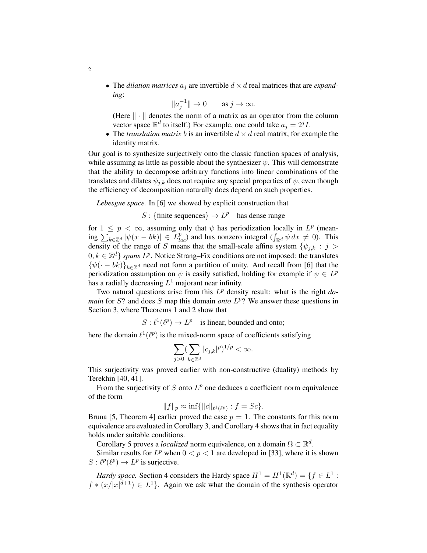• The *dilation matrices*  $a_i$  are invertible  $d \times d$  real matrices that are *expanding*:

$$
\|a_j^{-1}\| \to 0 \quad \text{as } j \to \infty.
$$

(Here  $\|\cdot\|$  denotes the norm of a matrix as an operator from the column vector space  $\mathbb{R}^d$  to itself.) For example, one could take  $a_j = 2^j I$ .

• The *translation matrix b* is an invertible  $d \times d$  real matrix, for example the identity matrix.

Our goal is to synthesize surjectively onto the classic function spaces of analysis, while assuming as little as possible about the synthesizer  $\psi$ . This will demonstrate that the ability to decompose arbitrary functions into linear combinations of the translates and dilates  $\psi_{i,k}$  does not require any special properties of  $\psi$ , even though the efficiency of decomposition naturally does depend on such properties.

*Lebesgue space.* In [6] we showed by explicit construction that

2

# S : {finite sequences}  $\rightarrow L^p$  has dense range

for  $1 \leq p < \infty$ , assuming only that  $\psi$  has periodization locally in  $L^p$  (meaning  $\sum_{k \in \mathbb{Z}^d} |\psi(x - bk)| \in L^p_{loc}$  and has nonzero integral  $(\int_{\mathbb{R}^d} \psi dx \neq 0)$ . This density of the range of S means that the small-scale affine system  $\{\psi_{j,k} : j >$  $0, k \in \mathbb{Z}^d$  *spans*  $L^p$ . Notice Strang–Fix conditions are not imposed: the translates  ${\psi(-bk)}_{k \in \mathbb{Z}^d}$  need not form a partition of unity. And recall from [6] that the periodization assumption on  $\psi$  is easily satisfied, holding for example if  $\psi \in L^p$ has a radially decreasing  $L^1$  majorant near infinity.

Two natural questions arise from this  $L^p$  density result: what is the right *domain* for  $S$ ? and does  $S$  map this domain *onto*  $L^p$ ? We answer these questions in Section 3, where Theorems 1 and 2 show that

 $S: \ell^1(\ell^p) \to L^p$  is linear, bounded and onto;

here the domain  $\ell^1(\ell^p)$  is the mixed-norm space of coefficients satisfying

$$
\sum_{j>0} (\sum_{k\in\mathbb{Z}^d} |c_{j,k}|^p)^{1/p} < \infty.
$$

This surjectivity was proved earlier with non-constructive (duality) methods by Terekhin [40, 41].

From the surjectivity of  $S$  onto  $L^p$  one deduces a coefficient norm equivalence of the form

$$
||f||_p \approx \inf\{||c||_{\ell^1(\ell^p)} : f = Sc\}.
$$

Bruna [5, Theorem 4] earlier proved the case  $p = 1$ . The constants for this norm equivalence are evaluated in Corollary 3, and Corollary 4 shows that in fact equality holds under suitable conditions.

Corollary 5 proves a *localized* norm equivalence, on a domain  $\Omega \subset \mathbb{R}^d$ .

Similar results for  $L^p$  when  $0 < p < 1$  are developed in [33], where it is shown  $S: \ell^p(\ell^p) \to L^p$  is surjective.

*Hardy space.* Section 4 considers the Hardy space  $H^1 = H^1(\mathbb{R}^d) = \{f \in L^1 :$  $f * (x/|x|^{d+1}) \in L^1$ . Again we ask what the domain of the synthesis operator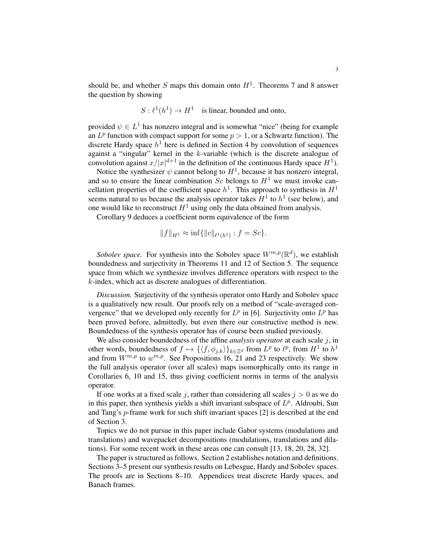should be, and whether S maps this domain onto  $H<sup>1</sup>$ . Theorems 7 and 8 answer the question by showing

$$
S: \ell^1(h^1) \to H^1
$$
 is linear, bounded and onto,

provided  $\psi \in L^1$  has nonzero integral and is somewhat "nice" (being for example an  $L^p$  function with compact support for some  $p > 1$ , or a Schwartz function). The discrete Hardy space  $h^1$  here is defined in Section 4 by convolution of sequences against a "singular" kernel in the k-variable (which is the discrete analogue of convolution against  $x/|x|^{d+1}$  in the definition of the continuous Hardy space  $H^1$ ).

Notice the synthesizer  $\psi$  cannot belong to  $H^1$ , because it has nonzero integral, and so to ensure the linear combination  $Sc$  belongs to  $H<sup>1</sup>$  we must invoke cancellation properties of the coefficient space  $h^1$ . This approach to synthesis in  $H^1$ seems natural to us because the analysis operator takes  $H^1$  to  $h^1$  (see below), and one would like to reconstruct  $H^1$  using only the data obtained from analysis.

Corollary 9 deduces a coefficient norm equivalence of the form

$$
||f||_{H^1} \approx \inf \{ ||c||_{\ell^1(h^1)} : f = Sc \}.
$$

Sobolev space. For synthesis into the Sobolev space  $W^{m,p}(\mathbb{R}^d)$ , we establish boundedness and surjectivity in Theorems 11 and 12 of Section 5. The sequence space from which we synthesize involves difference operators with respect to the k-index, which act as discrete analogues of differentiation.

*Discussion.* Surjectivity of the synthesis operator onto Hardy and Sobolev space is a qualitatively new result. Our proofs rely on a method of "scale-averaged convergence" that we developed only recently for  $L^p$  in [6]. Surjectivity onto  $L^p$  has been proved before, admittedly, but even there our constructive method is new. Boundedness of the synthesis operator has of course been studied previously.

We also consider boundedness of the affine *analysis operator* at each scale j, in other words, boundedness of  $f \mapsto \{ \langle f, \phi_{j,k} \rangle \}_{k \in \mathbb{Z}^d}$  from  $L^p$  to  $\ell^p$ , from  $H^1$  to  $h^1$ and from  $W^{m,p}$  to  $w^{m,p}$ . See Propositions 16, 21 and 23 respectively. We show the full analysis operator (over all scales) maps isomorphically onto its range in Corollaries 6, 10 and 15, thus giving coefficient norms in terms of the analysis operator.

If one works at a fixed scale j, rather than considering all scales  $j > 0$  as we do in this paper, then synthesis yields a shift invariant subspace of  $L^p$ . Aldroubi, Sun and Tang's p-frame work for such shift invariant spaces [2] is described at the end of Section 3.

Topics we do not pursue in this paper include Gabor systems (modulations and translations) and wavepacket decompositions (modulations, translations and dilations). For some recent work in these areas one can consult [13, 18, 20, 28, 32].

The paper is structured as follows. Section 2 establishes notation and definitions. Sections 3–5 present our synthesis results on Lebesgue, Hardy and Sobolev spaces. The proofs are in Sections 8–10. Appendices treat discrete Hardy spaces, and Banach frames.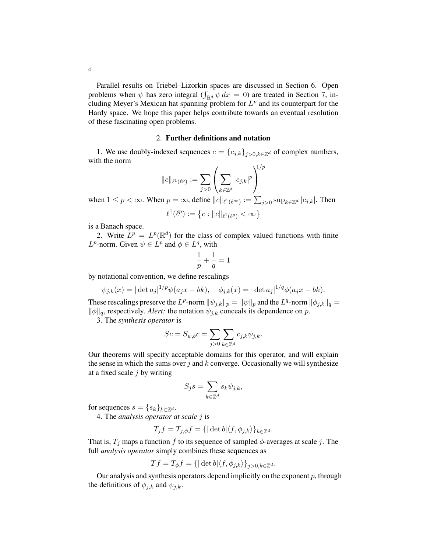Parallel results on Triebel–Lizorkin spaces are discussed in Section 6. Open problems when  $\psi$  has zero integral  $(\int_{\mathbb{R}^d} \psi \, dx = 0)$  are treated in Section 7, including Meyer's Mexican hat spanning problem for  $L^p$  and its counterpart for the Hardy space. We hope this paper helps contribute towards an eventual resolution of these fascinating open problems.

### 2. Further definitions and notation

1. We use doubly-indexed sequences  $c = {c_{j,k}}_{j>0,k \in \mathbb{Z}^d}$  of complex numbers, with the norm

$$
||c||_{\ell^1(\ell^p)} := \sum_{j>0} \left( \sum_{k \in \mathbb{Z}^d} |c_{j,k}|^p \right)^{1/p}
$$

when  $1 \le p < \infty$ . When  $p = \infty$ , define  $||c||_{\ell^1(\ell^\infty)} := \sum_{j>0} \sup_{k \in \mathbb{Z}^d} |c_{j,k}|$ . Then

$$
\ell^1(\ell^p) := \left\{ c : \|c\|_{\ell^1(\ell^p)} < \infty \right\}
$$

is a Banach space.

2. Write  $\hat{L}^p = L^p(\mathbb{R}^d)$  for the class of complex valued functions with finite  $L^p$ -norm. Given  $\psi \in L^p$  and  $\phi \in L^q$ , with

$$
\frac{1}{p}+\frac{1}{q}=1
$$

by notational convention, we define rescalings

$$
\psi_{j,k}(x) = |\det a_j|^{1/p} \psi(a_j x - bk), \quad \phi_{j,k}(x) = |\det a_j|^{1/q} \phi(a_j x - bk).
$$

These rescalings preserve the L<sup>p</sup>-norm  $\|\psi_{j,k}\|_p = \|\psi\|_p$  and the L<sup>q</sup>-norm  $\|\phi_{j,k}\|_q =$  $\|\phi\|_q$ , respectively. *Alert:* the notation  $\psi_{j,k}$  conceals its dependence on p.

3. The *synthesis operator* is

$$
Sc = S_{\psi,b}c = \sum_{j>0} \sum_{k \in \mathbb{Z}^d} c_{j,k} \psi_{j,k}.
$$

Our theorems will specify acceptable domains for this operator, and will explain the sense in which the sums over j and  $k$  converge. Occasionally we will synthesize at a fixed scale  $j$  by writing

$$
S_j s = \sum_{k \in \mathbb{Z}^d} s_k \psi_{j,k},
$$

for sequences  $s = \{s_k\}_{k \in \mathbb{Z}^d}$ .

4. The *analysis operator at scale* j is

$$
T_j f = T_{j,\phi} f = \{ |\det b| \langle f, \phi_{j,k} \rangle \}_{k \in \mathbb{Z}^d}.
$$

That is,  $T_i$  maps a function f to its sequence of sampled  $\phi$ -averages at scale j. The full *analysis operator* simply combines these sequences as

$$
Tf = T_{\phi}f = \{ |\det b| \langle f, \phi_{j,k} \rangle \}_{j>0, k \in \mathbb{Z}^d}.
$$

Our analysis and synthesis operators depend implicitly on the exponent  $p$ , through the definitions of  $\phi_{j,k}$  and  $\psi_{j,k}$ .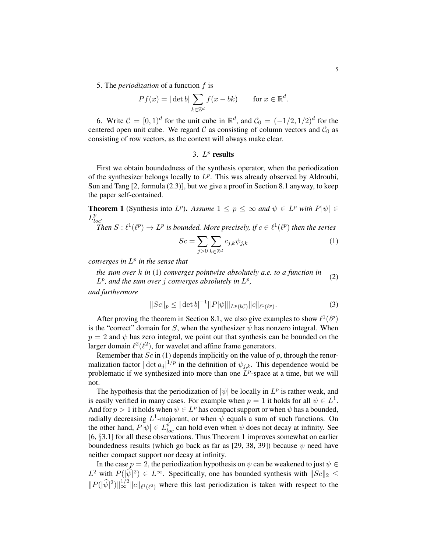5. The *periodization* of a function f is

$$
Pf(x) = |\det b| \sum_{k \in \mathbb{Z}^d} f(x - bk) \quad \text{for } x \in \mathbb{R}^d.
$$

6. Write  $C = [0, 1]^d$  for the unit cube in  $\mathbb{R}^d$ , and  $C_0 = (-1/2, 1/2)^d$  for the centered open unit cube. We regard  $\mathcal C$  as consisting of column vectors and  $\mathcal C_0$  as consisting of row vectors, as the context will always make clear.

# 3.  $L^p$  results

First we obtain boundedness of the synthesis operator, when the periodization of the synthesizer belongs locally to  $L^p$ . This was already observed by Aldroubi, Sun and Tang [2, formula (2.3)], but we give a proof in Section 8.1 anyway, to keep the paper self-contained.

**Theorem 1** (Synthesis into  $L^p$ ). Assume  $1 \leq p \leq \infty$  and  $\psi \in L^p$  with  $P|\psi| \in$  $L^p_{loc}$ .

Then  $S: \ell^1(\ell^p) \to L^p$  is bounded. More precisely, if  $c \in \ell^1(\ell^p)$  then the series

$$
Sc = \sum_{j>0} \sum_{k \in \mathbb{Z}^d} c_{j,k} \psi_{j,k} \tag{1}
$$

*converges in* L p *in the sense that*

*the sum over* k *in* (1) *converges pointwise absolutely a.e. to a function in*  $L^p$ , and the sum over j converges absolutely in  $L^p$ , (2)

*and furthermore*

$$
||Sc||_p \le |\det b|^{-1} ||P|\psi||_{L^p(bC)} ||c||_{\ell^1(\ell^p)}.
$$
\n(3)

After proving the theorem in Section 8.1, we also give examples to show  $\ell^1(\ell^p)$ is the "correct" domain for S, when the synthesizer  $\psi$  has nonzero integral. When  $p = 2$  and  $\psi$  has zero integral, we point out that synthesis can be bounded on the larger domain  $\ell^2(\ell^2)$ , for wavelet and affine frame generators.

Remember that  $Sc$  in (1) depends implicitly on the value of  $p$ , through the renormalization factor  $|\det a_j|^{1/p}$  in the definition of  $\psi_{j,k}$ . This dependence would be problematic if we synthesized into more than one  $L^p$ -space at a time, but we will not.

The hypothesis that the periodization of  $|\psi|$  be locally in  $L^p$  is rather weak, and is easily verified in many cases. For example when  $p = 1$  it holds for all  $\psi \in L^1$ . And for  $p > 1$  it holds when  $\psi \in L^p$  has compact support or when  $\psi$  has a bounded, radially decreasing  $L^1$ -majorant, or when  $\psi$  equals a sum of such functions. On the other hand,  $P[\psi] \in L_{loc}^p$  can hold even when  $\psi$  does not decay at infinity. See [6, §3.1] for all these observations. Thus Theorem 1 improves somewhat on earlier boundedness results (which go back as far as [29, 38, 39]) because  $\psi$  need have neither compact support nor decay at infinity.

In the case  $p = 2$ , the periodization hypothesis on  $\psi$  can be weakened to just  $\psi \in$  $L^2$  with  $P(|\widehat{\psi}|^2) \in L^{\infty}$ . Specifically, one has bounded synthesis with  $||Sc||_2 \leq$  $||P(|\hat{\psi}|^2)||_{\infty}^{1/2}||c||_{\ell^1(\ell^2)}$  where this last periodization is taken with respect to the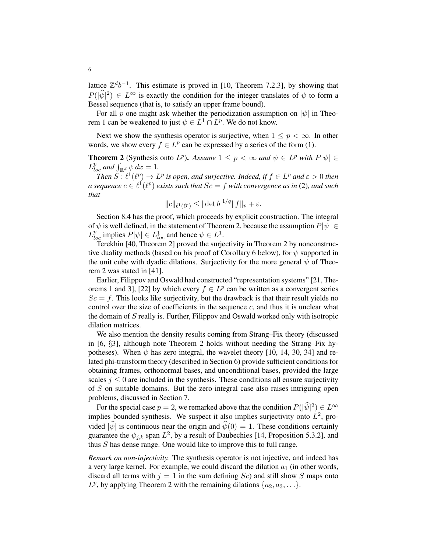lattice  $\mathbb{Z}^d b^{-1}$ . This estimate is proved in [10, Theorem 7.2.3], by showing that  $P(|\hat{\psi}|^2) \in L^{\infty}$  is exactly the condition for the integer translates of  $\psi$  to form a Bessel sequence (that is, to satisfy an upper frame bound).

For all p one might ask whether the periodization assumption on  $|\psi|$  in Theorem 1 can be weakened to just  $\psi \in L^1 \cap L^p$ . We do not know.

Next we show the synthesis operator is surjective, when  $1 \leq p \leq \infty$ . In other words, we show every  $f \in L^p$  can be expressed by a series of the form (1).

**Theorem 2** (Synthesis onto  $L^p$ ). Assume  $1 \leq p < \infty$  and  $\psi \in L^p$  with  $P|\psi| \in L^p$  $L_{loc}^p$  and  $\int_{\mathbb{R}^d} \psi \, dx = 1$ .

*Then*  $S: \ell^1(\ell^p) \to L^p$  *is open, and surjective. Indeed, if*  $f \in L^p$  *and*  $\varepsilon > 0$  *then a sequence*  $c \in \ell^1(\ell^p)$  exists such that  $Sc = f$  with convergence as in (2)*, and such that*

$$
||c||_{\ell^1(\ell^p)} \leq |\det b|^{1/q} ||f||_p + \varepsilon.
$$

Section 8.4 has the proof, which proceeds by explicit construction. The integral of  $\psi$  is well defined, in the statement of Theorem 2, because the assumption  $P|\psi| \in$  $L_{loc}^p$  implies  $P[\psi] \in L_{loc}^1$  and hence  $\psi \in L^1$ .

Terekhin [40, Theorem 2] proved the surjectivity in Theorem 2 by nonconstructive duality methods (based on his proof of Corollary 6 below), for  $\psi$  supported in the unit cube with dyadic dilations. Surjectivity for the more general  $\psi$  of Theorem 2 was stated in [41].

Earlier, Filippov and Oswald had constructed "representation systems" [21, Theorems 1 and 3], [22] by which every  $f \in L^p$  can be written as a convergent series  $Sc = f$ . This looks like surjectivity, but the drawback is that their result yields no control over the size of coefficients in the sequence  $c$ , and thus it is unclear what the domain of S really is. Further, Filippov and Oswald worked only with isotropic dilation matrices.

We also mention the density results coming from Strang–Fix theory (discussed in [6, §3], although note Theorem 2 holds without needing the Strang–Fix hypotheses). When  $\psi$  has zero integral, the wavelet theory [10, 14, 30, 34] and related phi-transform theory (described in Section 6) provide sufficient conditions for obtaining frames, orthonormal bases, and unconditional bases, provided the large scales  $j \leq 0$  are included in the synthesis. These conditions all ensure surjectivity of  $S$  on suitable domains. But the zero-integral case also raises intriguing open problems, discussed in Section 7.

For the special case  $p = 2$ , we remarked above that the condition  $P(|\hat{\psi}|^2) \in L^{\infty}$ implies bounded synthesis. We suspect it also implies surjectivity onto  $L^2$ , provided  $|\hat{\psi}|$  is continuous near the origin and  $\hat{\psi}(0) = 1$ . These conditions certainly guarantee the  $\psi_{j,k}$  span  $L^2$ , by a result of Daubechies [14, Proposition 5.3.2], and thus S has dense range. One would like to improve this to full range.

*Remark on non-injectivity.* The synthesis operator is not injective, and indeed has a very large kernel. For example, we could discard the dilation  $a_1$  (in other words, discard all terms with  $j = 1$  in the sum defining  $Sc$ ) and still show S maps onto  $L^p$ , by applying Theorem 2 with the remaining dilations  $\{a_2, a_3, \ldots\}$ .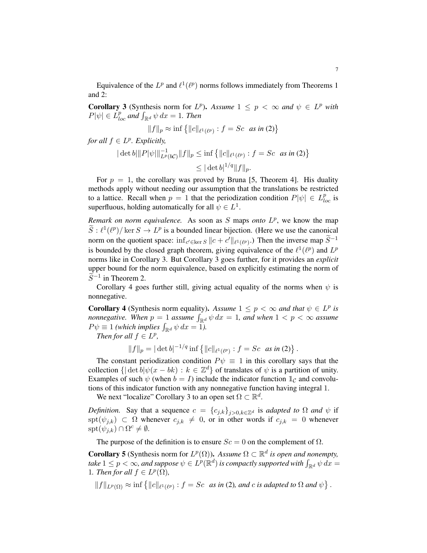Equivalence of the  $L^p$  and  $\ell^1(\ell^p)$  norms follows immediately from Theorems 1 and 2:

**Corollary 3** (Synthesis norm for  $L^p$ ). Assume  $1 \leq p < \infty$  and  $\psi \in L^p$  with  $P[\psi] \in L_{loc}^p$  and  $\int_{\mathbb{R}^d} \psi \, dx = 1$ . Then

$$
||f||_p \approx \inf \{ ||c||_{\ell^1(\ell^p)} : f = Sc \text{ as in (2)} \}
$$

*for all*  $f \in L^p$ *. Explicitly,* 

$$
\begin{aligned} \|\det b\| \|P|\psi\| \|_{L^p(bC)}^{-1} \|f\|_p &\leq \inf \left\{ \|c\|_{\ell^1(\ell^p)} : f = Sc \text{ as in (2)} \right\} \\ &\leq |\det b|^{1/q} \|f\|_p. \end{aligned}
$$

For  $p = 1$ , the corollary was proved by Bruna [5, Theorem 4]. His duality methods apply without needing our assumption that the translations be restricted to a lattice. Recall when  $p = 1$  that the periodization condition  $P|\psi| \in L_{loc}^p$  is superfluous, holding automatically for all  $\psi \in L^1$ .

*Remark on norm equivalence.* As soon as  $S$  maps *onto*  $L^p$ , we know the map  $\widetilde{S}: \ell^1(\ell^p)/\ker S \to L^p$  is a bounded linear bijection. (Here we use the canonical norm on the quotient space:  $\inf_{c' \in \ker S} ||c + c'||_{\ell^1(\ell^p)}$ .) Then the inverse map  $\widetilde{S}^{-1}$ is bounded by the closed graph theorem, giving equivalence of the  $\ell^1(\ell^p)$  and  $L^p$ norms like in Corollary 3. But Corollary 3 goes further, for it provides an *explicit* upper bound for the norm equivalence, based on explicitly estimating the norm of  $\widetilde{S}^{-1}$  in Theorem 2.

Corollary 4 goes further still, giving actual equality of the norms when  $\psi$  is nonnegative.

**Corollary 4** (Synthesis norm equality). Assume  $1 \leq p < \infty$  and that  $\psi \in L^p$  is *nonnegative.* When  $p = 1$  assume  $\int_{\mathbb{R}^d} \psi \, dx = 1$ , and when  $1 < p < \infty$  assume  $P\psi \equiv 1$  *(which implies*  $\int_{\mathbb{R}^d} \psi \, dx = 1$ *).* 

*Then for all*  $f \in L^p$ ,

$$
||f||_p = |\det b|^{-1/q} \inf \{ ||c||_{\ell^1(\ell^p)} : f = Sc \text{ as in (2)} \}.
$$

The constant periodization condition  $P\psi \equiv 1$  in this corollary says that the collection  $\{|\det b| \psi(x - bk) : k \in \mathbb{Z}^d\}$  of translates of  $\psi$  is a partition of unity. Examples of such  $\psi$  (when  $b = I$ ) include the indicator function  $\mathbb{1}_{\mathcal{C}}$  and convolutions of this indicator function with any nonnegative function having integral 1.

We next "localize" Corollary 3 to an open set  $\Omega \subset \mathbb{R}^d$ .

*Definition.* Say that a sequence  $c = \{c_{j,k}\}_{j>0,k\in\mathbb{Z}^d}$  is *adapted to*  $\Omega$  *and*  $\psi$  if spt $(\psi_{j,k}) \subset \Omega$  whenever  $c_{j,k} \neq 0$ , or in other words if  $c_{j,k} = 0$  whenever  $\text{spt}(\psi_{j,k}) \cap \Omega^c \neq \emptyset.$ 

The purpose of the definition is to ensure  $Sc = 0$  on the complement of  $\Omega$ .

**Corollary 5** (Synthesis norm for  $L^p(\Omega)$ ). Assume  $\Omega \subset \mathbb{R}^d$  is open and nonempty, take  $1\leq p<\infty$ , and suppose  $\psi\in L^p(\mathbb{R}^d)$  is compactly supported with  $\int_{\mathbb{R}^d}\psi\,dx=0$ 1. Then for all  $f \in L^p(\Omega)$ ,

 $||f||_{L^p(\Omega)} \approx \inf \{||c||_{\ell^1(\ell^p)} : f = Sc \text{ as in (2), and } c \text{ is adapted to } \Omega \text{ and } \psi\}.$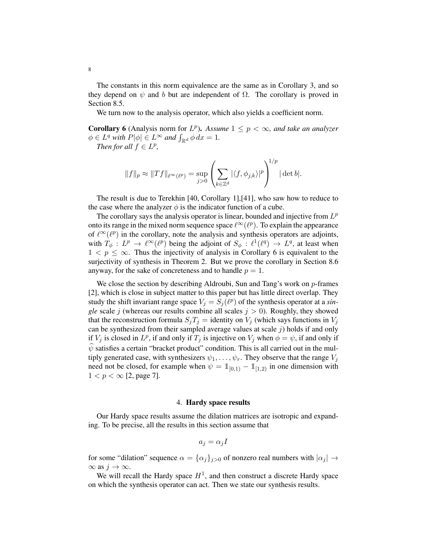The constants in this norm equivalence are the same as in Corollary 3, and so they depend on  $\psi$  and b but are independent of  $\Omega$ . The corollary is proved in Section 8.5.

We turn now to the analysis operator, which also yields a coefficient norm.

**Corollary 6** (Analysis norm for  $L^p$ ). Assume  $1 \leq p < \infty$ , and take an analyzer  $\phi \in L^q$  with  $P[\phi] \in L^{\infty}$  and  $\int_{\mathbb{R}^d} \phi \, dx = 1$ .

*Then for all*  $f \in L^p$ ,

$$
||f||_p \approx ||Tf||_{\ell^{\infty}(\ell^p)} = \sup_{j>0} \left( \sum_{k \in \mathbb{Z}^d} |\langle f, \phi_{j,k} \rangle|^p \right)^{1/p} |\det b|.
$$

The result is due to Terekhin [40, Corollary 1],[41], who saw how to reduce to the case where the analyzer  $\phi$  is the indicator function of a cube.

The corollary says the analysis operator is linear, bounded and injective from  $L^p$ onto its range in the mixed norm sequence space  $\ell^{\infty}(\ell^{p})$ . To explain the appearance of  $\ell^{\infty}(\ell^p)$  in the corollary, note the analysis and synthesis operators are adjoints, with  $T_{\phi}: L^p \to \ell^{\infty}(\ell^p)$  being the adjoint of  $S_{\phi}: \ell^1(\ell^q) \to L^q$ , at least when  $1 < p \leq \infty$ . Thus the injectivity of analysis in Corollary 6 is equivalent to the surjectivity of synthesis in Theorem 2. But we prove the corollary in Section 8.6 anyway, for the sake of concreteness and to handle  $p = 1$ .

We close the section by describing Aldroubi, Sun and Tang's work on  $p$ -frames [2], which is close in subject matter to this paper but has little direct overlap. They study the shift invariant range space  $V_j = S_j(\ell^p)$  of the synthesis operator at a *single* scale *j* (whereas our results combine all scales  $j > 0$ ). Roughly, they showed that the reconstruction formula  $S_jT_j =$  identity on  $V_j$  (which says functions in  $V_j$ can be synthesized from their sampled average values at scale  $j$ ) holds if and only if  $V_j$  is closed in  $L^p$ , if and only if  $T_j$  is injective on  $V_j$  when  $\phi = \psi$ , if and only if  $\psi$  satisfies a certain "bracket product" condition. This is all carried out in the multiply generated case, with synthesizers  $\psi_1, \ldots, \psi_r$ . They observe that the range  $V_j$ need not be closed, for example when  $\psi = \mathbb{1}_{[0,1)} - \mathbb{1}_{[1,2)}$  in one dimension with  $1 < p < \infty$  [2, page 7].

### 4. Hardy space results

Our Hardy space results assume the dilation matrices are isotropic and expanding. To be precise, all the results in this section assume that

$$
a_j = \alpha_j I
$$

for some "dilation" sequence  $\alpha = {\{\alpha_j\}}_{j>0}$  of nonzero real numbers with  $|\alpha_j| \rightarrow$  $\infty$  as  $j \to \infty$ .

We will recall the Hardy space  $H<sup>1</sup>$ , and then construct a discrete Hardy space on which the synthesis operator can act. Then we state our synthesis results.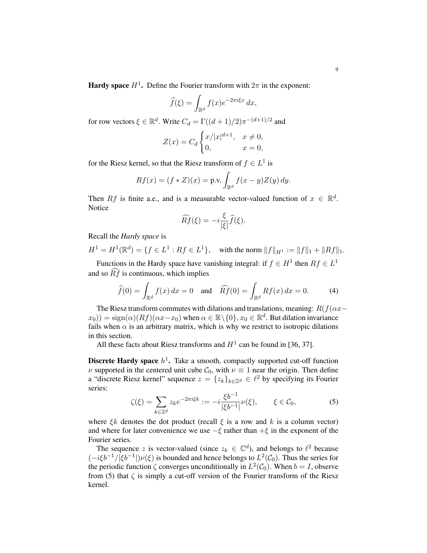**Hardy space**  $H^1$ . Define the Fourier transform with  $2\pi$  in the exponent:

$$
\widehat{f}(\xi) = \int_{\mathbb{R}^d} f(x) e^{-2\pi i \xi x} dx,
$$

for row vectors  $\xi \in \mathbb{R}^d$ . Write  $C_d = \Gamma((d+1)/2)\pi^{-(d+1)/2}$  and

$$
Z(x) = C_d \begin{cases} x/|x|^{d+1}, & x \neq 0, \\ 0, & x = 0, \end{cases}
$$

for the Riesz kernel, so that the Riesz transform of  $f \in L^1$  is

$$
Rf(x) = (f * Z)(x) = \text{p.v.} \int_{\mathbb{R}^d} f(x - y) Z(y) dy.
$$

Then Rf is finite a.e., and is a measurable vector-valued function of  $x \in \mathbb{R}^d$ . Notice

$$
\widehat{Rf}(\xi) = -i\frac{\xi}{|\xi|}\widehat{f}(\xi).
$$

Recall the *Hardy space* is

$$
H^{1} = H^{1}(\mathbb{R}^{d}) = \{ f \in L^{1} : Rf \in L^{1} \}, \quad \text{with the norm } ||f||_{H^{1}} := ||f||_{1} + ||Rf||_{1}.
$$

Functions in the Hardy space have vanishing integral: if  $f \in H^1$  then  $Rf \in L^1$ and so  $\widehat{Rf}$  is continuous, which implies

$$
\widehat{f}(0) = \int_{\mathbb{R}^d} f(x) dx = 0 \quad \text{and} \quad \widehat{Rf}(0) = \int_{\mathbb{R}^d} Rf(x) dx = 0. \tag{4}
$$

The Riesz transform commutes with dilations and translations, meaning:  $R(f(\alpha x-\alpha))$  $(x_0)$ ) = sign $(\alpha)(Rf)(\alpha x-x_0)$  when  $\alpha \in \mathbb{R} \setminus \{0\}$ ,  $x_0 \in \mathbb{R}^d$ . But dilation invariance fails when  $\alpha$  is an arbitrary matrix, which is why we restrict to isotropic dilations in this section.

All these facts about Riesz transforms and  $H^1$  can be found in [36, 37].

**Discrete Hardy space**  $h^1$ . Take a smooth, compactly supported cut-off function  $\nu$  supported in the centered unit cube  $C_0$ , with  $\nu \equiv 1$  near the origin. Then define a "discrete Riesz kernel" sequence  $z = \{z_k\}_{k \in \mathbb{Z}^d} \in \ell^2$  by specifying its Fourier series:

$$
\zeta(\xi) = \sum_{k \in \mathbb{Z}^d} z_k e^{-2\pi i \xi k} := -i \frac{\xi b^{-1}}{|\xi b^{-1}|} \nu(\xi), \qquad \xi \in \mathcal{C}_0,\tag{5}
$$

where  $\xi k$  denotes the dot product (recall  $\xi$  is a row and k is a column vector) and where for later convenience we use  $-\xi$  rather than  $+\xi$  in the exponent of the Fourier series.

The sequence z is vector-valued (since  $z_k \in \mathbb{C}^d$ ), and belongs to  $\ell^2$  because  $(-i\xi b^{-1}/|\xi b^{-1}|)\nu(\xi)$  is bounded and hence belongs to  $L^2(\mathcal{C}_0)$ . Thus the series for the periodic function  $\zeta$  converges unconditionally in  $L^2(\mathcal{C}_0)$ . When  $b = I$ , observe from (5) that  $\zeta$  is simply a cut-off version of the Fourier transform of the Riesz kernel.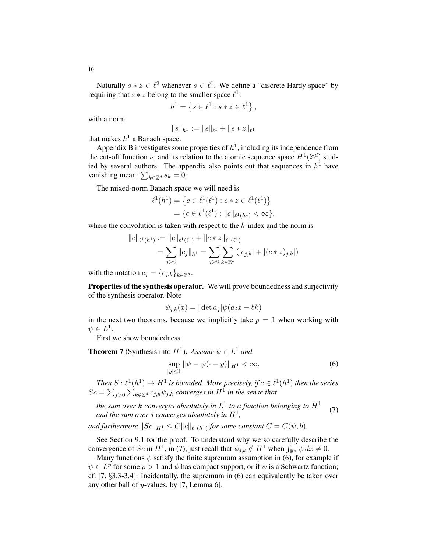Naturally  $s \times z \in \ell^2$  whenever  $s \in \ell^1$ . We define a "discrete Hardy space" by requiring that  $s * z$  belong to the smaller space  $\ell^1$ :

$$
h^1 = \left\{ s \in \ell^1 : s * z \in \ell^1 \right\},\
$$

with a norm

$$
||s||_{h^1} := ||s||_{\ell^1} + ||s * z||_{\ell^1}
$$

that makes  $h^1$  a Banach space.

Appendix B investigates some properties of  $h<sup>1</sup>$ , including its independence from the cut-off function  $\nu$ , and its relation to the atomic sequence space  $H^1(\mathbb{Z}^d)$  studied by several authors. The appendix also points out that sequences in  $h<sup>1</sup>$  have vanishing mean:  $\sum_{k \in \mathbb{Z}^d} s_k = 0$ .

The mixed-norm Banach space we will need is

$$
\ell^1(h^1) = \left\{ c \in \ell^1(\ell^1) : c * z \in \ell^1(\ell^1) \right\}
$$
  
= 
$$
\left\{ c \in \ell^1(\ell^1) : ||c||_{\ell^1(h^1)} < \infty \right\},\
$$

where the convolution is taken with respect to the  $k$ -index and the norm is

$$
||c||_{\ell^1(h^1)} := ||c||_{\ell^1(\ell^1)} + ||c * z||_{\ell^1(\ell^1)}
$$
  
= 
$$
\sum_{j>0} ||c_j||_{h^1} = \sum_{j>0} \sum_{k \in \mathbb{Z}^d} (|c_{j,k}| + |(c * z)_{j,k}|)
$$

with the notation  $c_j = \{c_{j,k}\}_{k \in \mathbb{Z}^d}$ .

Properties of the synthesis operator. We will prove boundedness and surjectivity of the synthesis operator. Note

$$
\psi_{j,k}(x) = |\det a_j| \psi(a_j x - bk)
$$

in the next two theorems, because we implicitly take  $p = 1$  when working with  $\psi \in L^1$ .

First we show boundedness.

**Theorem 7** (Synthesis into  $H^1$ ). Assume  $\psi \in L^1$  and

$$
\sup_{|y| \le 1} \|\psi - \psi(\cdot - y)\|_{H^1} < \infty. \tag{6}
$$

*Then*  $S: \ell^1(h^1) \to H^1$  *is bounded. More precisely, if*  $c \in \ell^1(h^1)$  *then the series*  $Sc = \sum_{j>0} \sum_{k \in \mathbb{Z}^d} c_{j,k} \psi_{j,k}$  converges in  $H^1$  in the sense that

*the sum over*  $k$  *converges absolutely in*  $L^1$  *to a function belonging to*  $H^1$ and the sum over  $j$  converges absolutely in  $H^1$ , (7)

and furthermore  $\|Sc\|_{H^1}\leq C \|c\|_{\ell^1(h^1)}$  for some constant  $C=C(\psi,b).$ 

See Section 9.1 for the proof. To understand why we so carefully describe the convergence of Sc in  $H^1$ , in (7), just recall that  $\psi_{j,k} \notin H^1$  when  $\int_{\mathbb{R}^d} \psi \, dx \neq 0$ .

Many functions  $\psi$  satisfy the finite supremum assumption in (6), for example if  $\psi \in L^p$  for some  $p > 1$  and  $\psi$  has compact support, or if  $\psi$  is a Schwartz function; cf. [7, §3.3-3.4]. Incidentally, the supremum in (6) can equivalently be taken over any other ball of  $y$ -values, by [7, Lemma 6].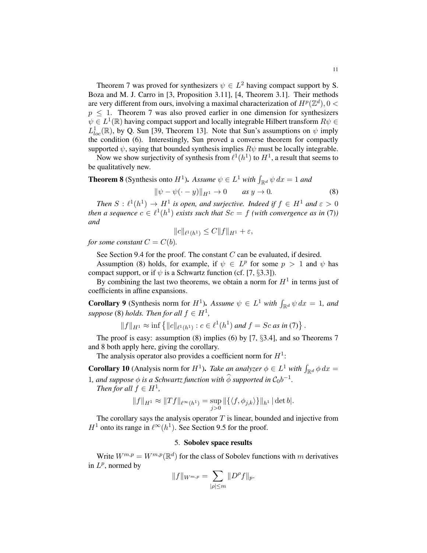Theorem 7 was proved for synthesizers  $\psi \in L^2$  having compact support by S. Boza and M. J. Carro in [3, Proposition 3.11], [4, Theorem 3.1]. Their methods are very different from ours, involving a maximal characterization of  $H^p(\mathbb{Z}^d)$ ,  $0 <$  $p \leq 1$ . Theorem 7 was also proved earlier in one dimension for synthesizers  $\psi \in L^1(\mathbb{R})$  having compact support and locally integrable Hilbert transform  $R\psi \in L^1(\mathbb{R})$  $L_{loc}^1(\mathbb{R})$ , by Q. Sun [39, Theorem 13]. Note that Sun's assumptions on  $\psi$  imply the condition (6). Interestingly, Sun proved a converse theorem for compactly supported  $\psi$ , saying that bounded synthesis implies  $R\psi$  must be locally integrable.

Now we show surjectivity of synthesis from  $\ell^1(h^1)$  to  $H^1$ , a result that seems to be qualitatively new.

**Theorem 8** (Synthesis onto  $H^1$ ). Assume  $\psi \in L^1$  with  $\int_{\mathbb{R}^d} \psi \, dx = 1$  and

$$
\|\psi - \psi(\cdot - y)\|_{H^1} \to 0 \qquad \text{as } y \to 0. \tag{8}
$$

*Then*  $S: \ell^1(h^1) \to H^1$  *is open, and surjective. Indeed if*  $f \in H^1$  *and*  $\varepsilon > 0$ *then a sequence*  $c \in \ell^1(h^1)$  *exists such that*  $Sc = f$  *(with convergence as in (7)) and*

$$
||c||_{\ell^1(h^1)} \le C||f||_{H^1} + \varepsilon,
$$

*for some constant*  $C = C(b)$ *.* 

See Section 9.4 for the proof. The constant  $C$  can be evaluated, if desired.

Assumption (8) holds, for example, if  $\psi \in L^p$  for some  $p > 1$  and  $\psi$  has compact support, or if  $\psi$  is a Schwartz function (cf. [7, §3.3]).

By combining the last two theorems, we obtain a norm for  $H<sup>1</sup>$  in terms just of coefficients in affine expansions.

**Corollary 9** (Synthesis norm for  $H^1$ ). Assume  $\psi \in L^1$  with  $\int_{\mathbb{R}^d} \psi \, dx = 1$ , and  $suppose (8) holds. Then for all  $f \in H^1$ ,$ 

$$
||f||_{H^1} \approx \inf \{ ||c||_{\ell^1(h^1)} : c \in \ell^1(h^1) \text{ and } f = Sc \text{ as in (7)} \}.
$$

The proof is easy: assumption  $(8)$  implies  $(6)$  by  $[7, §3.4]$ , and so Theorems 7 and 8 both apply here, giving the corollary.

The analysis operator also provides a coefficient norm for  $H^1$ :

**Corollary 10** (Analysis norm for  $H^1$ ). *Take an analyzer*  $\phi \in L^1$  *with*  $\int_{\mathbb{R}^d} \phi \, dx =$ 1, and suppose  $\phi$  is a Schwartz function with  $\widehat{\phi}$  supported in  $C_0b^{-1}$ .

*Then for all*  $f \in H^1$ ,

$$
||f||_{H^1} \approx ||Tf||_{\ell^{\infty}(h^1)} = \sup_{j>0} ||\{\langle f, \phi_{j,k}\rangle\}\|_{h^1} |\det b|.
$$

The corollary says the analysis operator  $T$  is linear, bounded and injective from  $H^1$  onto its range in  $\ell^{\infty}(h^1)$ . See Section 9.5 for the proof.

### 5. Sobolev space results

Write  $W^{m,p} = W^{m,p}(\mathbb{R}^d)$  for the class of Sobolev functions with m derivatives in  $L^p$ , normed by

$$
||f||_{W^{m,p}} = \sum_{|\rho| \le m} ||D^{\rho}f||_p.
$$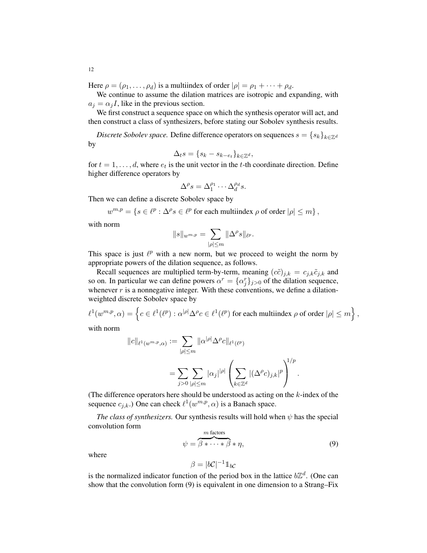Here  $\rho = (\rho_1, \ldots, \rho_d)$  is a multiindex of order  $|\rho| = \rho_1 + \cdots + \rho_d$ .

We continue to assume the dilation matrices are isotropic and expanding, with  $a_j = \alpha_j I$ , like in the previous section.

We first construct a sequence space on which the synthesis operator will act, and then construct a class of synthesizers, before stating our Sobolev synthesis results.

*Discrete Sobolev space.* Define difference operators on sequences  $s = \{s_k\}_{k \in \mathbb{Z}^d}$ by

$$
\Delta_t s = \{s_k - s_{k-e_t}\}_{k \in \mathbb{Z}^d},
$$

for  $t = 1, \ldots, d$ , where  $e_t$  is the unit vector in the t-th coordinate direction. Define higher difference operators by

$$
\Delta^{\rho} s = \Delta_1^{\rho_1} \cdots \Delta_d^{\rho_d} s.
$$

Then we can define a discrete Sobolev space by

$$
w^{m,p} = \{ s \in \ell^p : \Delta^\rho s \in \ell^p \text{ for each multiindex } \rho \text{ of order } |\rho| \le m \},
$$

with norm

$$
||s||_{w^{m,p}} = \sum_{|\rho| \le m} ||\Delta^{\rho} s||_{\ell^p}.
$$

This space is just  $\ell^p$  with a new norm, but we proceed to weight the norm by appropriate powers of the dilation sequence, as follows.

Recall sequences are multiplied term-by-term, meaning  $(c\tilde{c})_{j,k} = c_{j,k}\tilde{c}_{j,k}$  and so on. In particular we can define powers  $\alpha^r = {\alpha_j^r}_{j>0}$  of the dilation sequence, whenever  $r$  is a nonnegative integer. With these conventions, we define a dilationweighted discrete Sobolev space by

 $\ell^1(w^{m,p}, \alpha) = \left\{c \in \ell^1(\ell^p) : \alpha^{|\rho|} \Delta^\rho c \in \ell^1(\ell^p) \text{ for each multiindex } \rho \text{ of order } |\rho| \leq m \right\},$ 

with norm

$$
||c||_{\ell^1(w^{m,p},\alpha)} := \sum_{|\rho| \le m} ||\alpha^{|\rho|} \Delta^{\rho} c||_{\ell^1(\ell^p)}
$$
  
= 
$$
\sum_{j>0} \sum_{|\rho| \le m} |\alpha_j|^{|\rho|} \left( \sum_{k \in \mathbb{Z}^d} |(\Delta^{\rho} c)_{j,k}|^p \right)^{1/p}.
$$

(The difference operators here should be understood as acting on the  $k$ -index of the sequence  $c_{j,k}$ .) One can check  $\ell^1(w^{m,p}, \alpha)$  is a Banach space.

*The class of synthesizers.* Our synthesis results will hold when  $\psi$  has the special convolution form

$$
\psi = \overbrace{\beta \ast \cdots \ast \beta}^{m \text{ factors}} \ast \eta,
$$
\n(9)

where

$$
\beta = |b\mathcal{C}|^{-1} \mathbb{1}_{b\mathcal{C}}
$$

is the normalized indicator function of the period box in the lattice  $b\mathbb{Z}^d$ . (One can show that the convolution form (9) is equivalent in one dimension to a Strang–Fix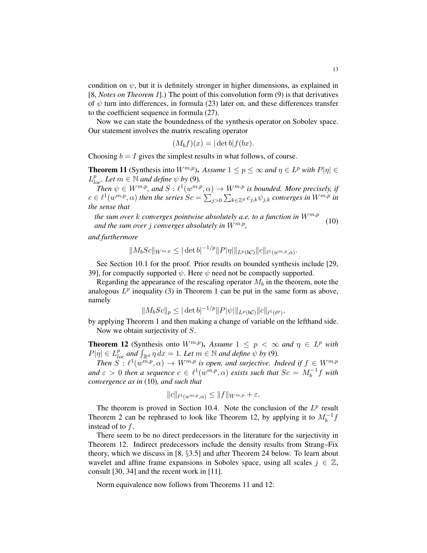condition on  $\psi$ , but it is definitely stronger in higher dimensions, as explained in [8, *Notes on Theorem 1*].) The point of this convolution form (9) is that derivatives of  $\psi$  turn into differences, in formula (23) later on, and these differences transfer to the coefficient sequence in formula (27).

Now we can state the boundedness of the synthesis operator on Sobolev space. Our statement involves the matrix rescaling operator

$$
(M_b f)(x) = |\det b| f(bx).
$$

Choosing  $b = I$  gives the simplest results in what follows, of course.

**Theorem 11** (Synthesis into  $W^{m,p}$ ). Assume  $1 \le p \le \infty$  and  $\eta \in L^p$  with  $P|\eta| \in L^p$  $L_{loc}^p$ *. Let*  $m \in \mathbb{N}$  *and define*  $\psi$  *by* (9)*.* 

Then  $\psi \in W^{m,p}$ , and  $S: \ell^1(w^{m,p}, \alpha) \to W^{m,p}$  is bounded. More precisely, if  $c \in \ell^1(w^{m,p},\alpha)$  then the series  $Sc=\sum_{j>0}\sum_{k\in\mathbb{Z}^d}c_{j,k}\psi_{j,k}$  converges in  $W^{m,p}$  in *the sense that*

*the sum over* k *converges pointwise absolutely a.e. to a function in*  $W^{m,p}$ *and the sum over* j *converges absolutely in* Wm,p *,* (10)

*and furthermore*

$$
||M_b Sc||_{W^{m,p}} \leq |\det b|^{-1/p} ||P|\eta||_{L^p(bC)} ||c||_{\ell^1(w^{m,p},\alpha)}
$$

See Section 10.1 for the proof. Prior results on bounded synthesis include [29, 39], for compactly supported  $\psi$ . Here  $\psi$  need not be compactly supported.

Regarding the appearance of the rescaling operator  $M_b$  in the theorem, note the analogous  $L^p$  inequality (3) in Theorem 1 can be put in the same form as above, namely

$$
||M_b Sc||_p \leq |\det b|^{-1/p} ||P|\psi||_{L^p(b\mathcal{C})} ||c||_{\ell^1(\ell^p)},
$$

by applying Theorem 1 and then making a change of variable on the lefthand side. Now we obtain surjectivity of S.

**Theorem 12** (Synthesis onto  $W^{m,p}$ ). Assume  $1 \leq p < \infty$  and  $\eta \in L^p$  with  $P|\eta| \in L_{loc}^p$  and  $\int_{\mathbb{R}^d} \eta \, dx = 1$ *. Let*  $m \in \mathbb{N}$  and define  $\psi$  by (9).

Then  $S: \ell^1(w^{\overline{m},p}, \alpha) \to W^{m,p}$  *is open, and surjective. Indeed if*  $f \in W^{m,p}$ and  $\varepsilon > 0$  then a sequence  $c \in \ell^1(w^{m,p}, \alpha)$  exists such that  $Sc = M_b^{-1}f$  with *convergence as in* (10)*, and such that*

$$
||c||_{\ell^1(w^{m,p},\alpha)} \leq ||f||_{W^{m,p}} + \varepsilon.
$$

The theorem is proved in Section 10.4. Note the conclusion of the  $L^p$  result Theorem 2 can be rephrased to look like Theorem 12, by applying it to  $M_b^{-1}f$ instead of to  $f$ .

There seem to be no direct predecessors in the literature for the surjectivity in Theorem 12. Indirect predecessors include the density results from Strang–Fix theory, which we discuss in [8, §3.5] and after Theorem 24 below. To learn about wavelet and affine frame expansions in Sobolev space, using all scales  $j \in \mathbb{Z}$ , consult [30, 34] and the recent work in [11].

Norm equivalence now follows from Theorems 11 and 12:

.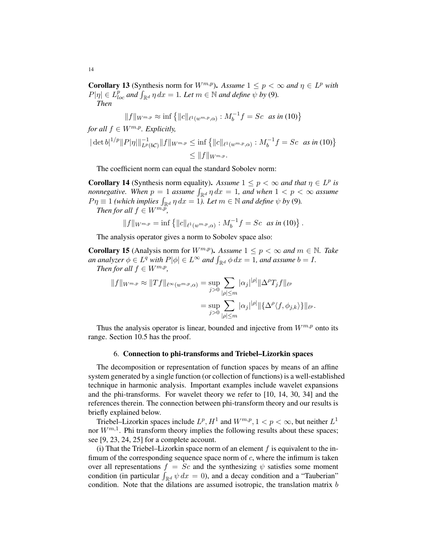**Corollary 13** (Synthesis norm for  $W^{m,p}$ ). Assume  $1 \leq p < \infty$  and  $\eta \in L^p$  with  $P|\eta| \in L_{loc}^p$  and  $\int_{\mathbb{R}^d} \eta \, dx = 1$ *. Let*  $m \in \mathbb{N}$  and define  $\overline{\psi}$  by (9). *Then*

$$
||f||_{W^{m,p}} \approx \inf \{ ||c||_{\ell^1(w^{m,p},\alpha)} : M_b^{-1} f = Sc \text{ as in (10)} \}
$$

*for all*  $f \in W^{m,p}$ *. Explicitly,* 

$$
|\det b|^{1/p} ||P|\eta|||_{L^p(bC)}^{-1} ||f||_{W^{m,p}} \le \inf \{ ||c||_{\ell^1(w^{m,p},\alpha)} : M_b^{-1} f = Sc \text{ as in (10)} \}
$$
  

$$
\le ||f||_{W^{m,p}}.
$$

The coefficient norm can equal the standard Sobolev norm:

**Corollary 14** (Synthesis norm equality). Assume  $1 \leq p < \infty$  and that  $\eta \in L^p$  is *nonnegative.* When  $p = 1$  assume  $\int_{\mathbb{R}^d} \eta \, dx = 1$ , and when  $1 < p < \infty$  assume  $P\eta \equiv 1$  *(which implies*  $\int_{\mathbb{R}^d} \eta \, dx = 1$ *). Let*  $m \in \mathbb{N}$  *and define*  $\psi$  *by* (9). *Then for all*  $f \text{ }\in W^{m,p}$ *,*

$$
en \text{ for all } j \in W^{\mathcal{A}},
$$

$$
||f||_{W^{m,p}} = \inf \{ ||c||_{\ell^1(w^{m,p},\alpha)} : M_b^{-1} f = Sc \text{ as in (10)} \}.
$$

The analysis operator gives a norm to Sobolev space also:

**Corollary 15** (Analysis norm for  $W^{m,p}$ ). Assume  $1 \leq p \leq \infty$  and  $m \in \mathbb{N}$ . Take *an analyzer*  $\phi \in L^q$  *with*  $P|\phi| \in L^\infty$  *and*  $\int_{\mathbb{R}^d} \phi \, dx = 1$ *, and assume*  $b = I$ *. Then for all*  $f \in W^{m,p}$ ,

$$
||f||_{W^{m,p}} \approx ||Tf||_{\ell^{\infty}(w^{m,p},\alpha)} = \sup_{j>0} \sum_{|\rho| \leq m} |\alpha_j|^{|\rho|} ||\Delta^{\rho} T_j f||_{\ell^p}
$$
  

$$
= \sup_{j>0} \sum_{|\rho| \leq m} |\alpha_j|^{|\rho|} ||\{\Delta^{\rho} \langle f, \phi_{j,k} \rangle\}||_{\ell^p}.
$$

Thus the analysis operator is linear, bounded and injective from  $W^{m,p}$  onto its range. Section 10.5 has the proof.

#### 6. Connection to phi-transforms and Triebel–Lizorkin spaces

The decomposition or representation of function spaces by means of an affine system generated by a single function (or collection of functions) is a well-established technique in harmonic analysis. Important examples include wavelet expansions and the phi-transforms. For wavelet theory we refer to [10, 14, 30, 34] and the references therein. The connection between phi-transform theory and our results is briefly explained below.

Triebel–Lizorkin spaces include  $L^p$ ,  $H^1$  and  $W^{m,p}$ ,  $1 < p < \infty$ , but neither  $L^1$ nor  $W^{m,1}$ . Phi transform theory implies the following results about these spaces; see [9, 23, 24, 25] for a complete account.

(i) That the Triebel–Lizorkin space norm of an element  $f$  is equivalent to the infimum of the corresponding sequence space norm of  $c$ , where the infimum is taken over all representations  $f = Sc$  and the synthesizing  $\psi$  satisfies some moment condition (in particular  $\int_{\mathbb{R}^d} \psi \, dx = 0$ ), and a decay condition and a "Tauberian" condition. Note that the dilations are assumed isotropic, the translation matrix  $b$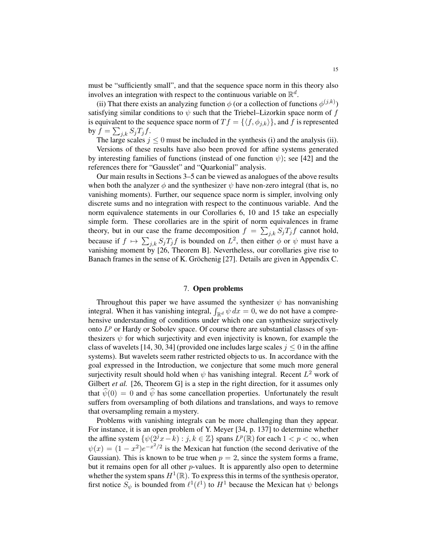must be "sufficiently small", and that the sequence space norm in this theory also involves an integration with respect to the continuous variable on  $\mathbb{R}^d$ .

(ii) That there exists an analyzing function  $\phi$  (or a collection of functions  $\phi^{(j,k)}$ ) satisfying similar conditions to  $\psi$  such that the Triebel–Lizorkin space norm of f is equivalent to the sequence space norm of  $T f = \{ \langle f, \phi_{j,k} \rangle \}$ , and f is represented by  $f = \sum_{j,k} S_j T_j f$ .

The large scales  $j \leq 0$  must be included in the synthesis (i) and the analysis (ii).

Versions of these results have also been proved for affine systems generated by interesting families of functions (instead of one function  $\psi$ ); see [42] and the references there for "Gausslet" and "Quarkonial" analysis.

Our main results in Sections 3–5 can be viewed as analogues of the above results when both the analyzer  $\phi$  and the synthesizer  $\psi$  have non-zero integral (that is, no vanishing moments). Further, our sequence space norm is simpler, involving only discrete sums and no integration with respect to the continuous variable. And the norm equivalence statements in our Corollaries 6, 10 and 15 take an especially simple form. These corollaries are in the spirit of norm equivalences in frame theory, but in our case the frame decomposition  $f = \sum_{j,k} S_j T_j f$  cannot hold, because if  $f \mapsto \sum_{j,k} S_j T_j f$  is bounded on  $L^2$ , then either  $\phi$  or  $\psi$  must have a vanishing moment by [26, Theorem B]. Nevertheless, our corollaries give rise to Banach frames in the sense of K. Gröchenig [27]. Details are given in Appendix C.

### 7. Open problems

Throughout this paper we have assumed the synthesizer  $\psi$  has nonvanishing integral. When it has vanishing integral,  $\int_{\mathbb{R}^d} \psi \, dx = 0$ , we do not have a comprehensive understanding of conditions under which one can synthesize surjectively onto  $L^p$  or Hardy or Sobolev space. Of course there are substantial classes of synthesizers  $\psi$  for which surjectivity and even injectivity is known, for example the class of wavelets [14, 30, 34] (provided one includes large scales  $j \leq 0$  in the affine systems). But wavelets seem rather restricted objects to us. In accordance with the goal expressed in the Introduction, we conjecture that some much more general surjectivity result should hold when  $\psi$  has vanishing integral. Recent  $L^2$  work of Gilbert *et al.* [26, Theorem G] is a step in the right direction, for it assumes only that  $\psi(0) = 0$  and  $\psi$  has some cancellation properties. Unfortunately the result suffers from oversampling of both dilations and translations, and ways to remove that oversampling remain a mystery.

Problems with vanishing integrals can be more challenging than they appear. For instance, it is an open problem of Y. Meyer [34, p. 137] to determine whether the affine system  $\{\psi(2^jx-k) : j, k \in \mathbb{Z}\}$  spans  $L^p(\mathbb{R})$  for each  $1 < p < \infty$ , when  $\psi(x) = (1 - x^2)e^{-x^2/2}$  is the Mexican hat function (the second derivative of the Gaussian). This is known to be true when  $p = 2$ , since the system forms a frame, but it remains open for all other  $p$ -values. It is apparently also open to determine whether the system spans  $H^1(\mathbb{R})$ . To express this in terms of the synthesis operator, first notice  $S_{\psi}$  is bounded from  $\ell^{1}(\ell^{1})$  to  $H^{1}$  because the Mexican hat  $\psi$  belongs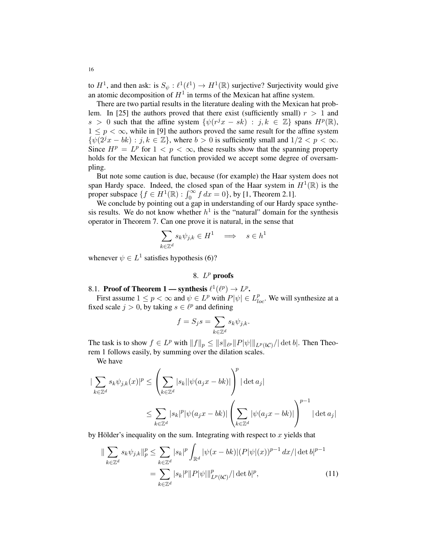to  $H^1$ , and then ask: is  $S_{\psi} : \ell^1(\ell^1) \to H^1(\mathbb{R})$  surjective? Surjectivity would give an atomic decomposition of  $H^1$  in terms of the Mexican hat affine system.

There are two partial results in the literature dealing with the Mexican hat problem. In [25] the authors proved that there exist (sufficiently small)  $r > 1$  and  $s > 0$  such that the affine system  $\{\psi(r^jx - sk) : j, k \in \mathbb{Z}\}\)$  spans  $H^p(\mathbb{R})$ ,  $1 \leq p < \infty$ , while in [9] the authors proved the same result for the affine system  $\{\psi(2^{j}x - bk) : j, k \in \mathbb{Z}\},\$  where  $b > 0$  is sufficiently small and  $1/2 < p < \infty$ . Since  $H^p = L^p$  for  $1 < p < \infty$ , these results show that the spanning property holds for the Mexican hat function provided we accept some degree of oversampling.

But note some caution is due, because (for example) the Haar system does not span Hardy space. Indeed, the closed span of the Haar system in  $H^1(\mathbb{R})$  is the proper subspace  $\{f \in H^1(\mathbb{R}) : \int_0^\infty f \, dx = 0\}$ , by [1, Theorem 2.1].

We conclude by pointing out a gap in understanding of our Hardy space synthesis results. We do not know whether  $h^1$  is the "natural" domain for the synthesis operator in Theorem 7. Can one prove it is natural, in the sense that

$$
\sum_{k \in \mathbb{Z}^d} s_k \psi_{j,k} \in H^1 \quad \Longrightarrow \quad s \in h^1
$$

whenever  $\psi \in L^1$  satisfies hypothesis (6)?

# 8.  $L^p$  proofs

8.1. Proof of Theorem 1 — synthesis 
$$
\ell^1(\ell^p) \to L^p
$$
.

First assume  $1 \le p < \infty$  and  $\psi \in L^p$  with  $P|\psi| \in L^p_{loc}$ . We will synthesize at a fixed scale  $j > 0$ , by taking  $s \in \ell^p$  and defining

$$
f = S_j s = \sum_{k \in \mathbb{Z}^d} s_k \psi_{j,k}.
$$

The task is to show  $f \in L^p$  with  $||f||_p \le ||s||_{\ell^p} ||P|\psi||_{L^p(b\mathcal{C})}/|\det b|$ . Then Theorem 1 follows easily, by summing over the dilation scales.

We have

$$
\begin{aligned} |\sum_{k \in \mathbb{Z}^d} s_k \psi_{j,k}(x)|^p &\leq \left(\sum_{k \in \mathbb{Z}^d} |s_k| |\psi(a_j x - bk)|\right)^p |\det a_j| \\ &\leq \sum_{k \in \mathbb{Z}^d} |s_k|^p |\psi(a_j x - bk)| \left(\sum_{k \in \mathbb{Z}^d} |\psi(a_j x - bk)|\right)^{p-1} |\det a_j| \end{aligned}
$$

by Hölder's inequality on the sum. Integrating with respect to x yields that

$$
\|\sum_{k\in\mathbb{Z}^d} s_k \psi_{j,k}\|_p^p \le \sum_{k\in\mathbb{Z}^d} |s_k|^p \int_{\mathbb{R}^d} |\psi(x-bk)|(P|\psi|(x))^{p-1} dx/|\det b|^{p-1}
$$
  
= 
$$
\sum_{k\in\mathbb{Z}^d} |s_k|^p \|P|\psi\|_{L^p(b\mathcal{C})}^p / |\det b|^p,
$$
 (11)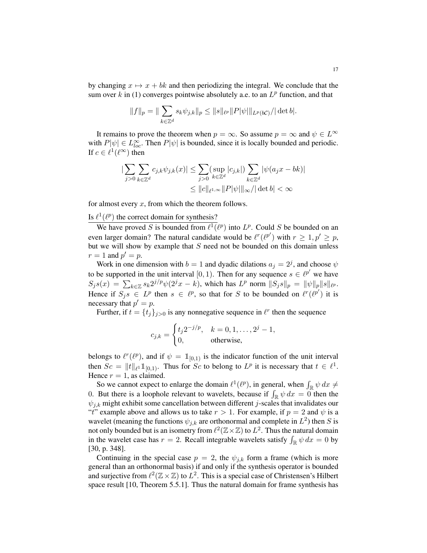by changing  $x \mapsto x + bk$  and then periodizing the integral. We conclude that the sum over k in (1) converges pointwise absolutely a.e. to an  $L^p$  function, and that

$$
||f||_p = ||\sum_{k \in \mathbb{Z}^d} s_k \psi_{j,k}||_p \leq ||s||_{\ell^p} ||P|\psi||_{L^p(b\mathcal{C})} / |\det b|.
$$

It remains to prove the theorem when  $p = \infty$ . So assume  $p = \infty$  and  $\psi \in L^{\infty}$ with  $P[\psi] \in L^{\infty}_{loc}$ . Then  $P[\psi]$  is bounded, since it is locally bounded and periodic. If  $c \in \ell^1(\ell^\infty)$  then

$$
\left| \sum_{j>0} \sum_{k \in \mathbb{Z}^d} c_{j,k} \psi_{j,k}(x) \right| \leq \sum_{j>0} \left( \sup_{k \in \mathbb{Z}^d} |c_{j,k}| \right) \sum_{k \in \mathbb{Z}^d} |\psi(a_j x - bk)|
$$
  

$$
\leq ||c||_{\ell^{1,\infty}} ||P|\psi|| ||_{\infty} / |\det b| < \infty
$$

for almost every  $x$ , from which the theorem follows.

# Is  $\ell^1(\ell^p)$  the correct domain for synthesis?

We have proved S is bounded from  $\ell^1(\ell^p)$  into  $L^p$ . Could S be bounded on an even larger domain? The natural candidate would be  $\ell^r(\ell^{p'})$  with  $r \geq 1, p' \geq p$ , but we will show by example that  $S$  need not be bounded on this domain unless  $r = 1$  and  $p' = p$ .

Work in one dimension with  $b = 1$  and dyadic dilations  $a_j = 2^j$ , and choose  $\psi$ to be supported in the unit interval [0, 1). Then for any sequence  $s \in \ell^{p'}$  we have  $S_j s(x) = \sum_{k \in \mathbb{Z}} s_k 2^{j/p} \psi(2^j x - k)$ , which has  $L^p$  norm  $||S_j s||_p = ||\psi||_p ||s||_{\ell^p}$ . Hence if  $S_j s \in L^p$  then  $s \in \ell^p$ , so that for S to be bounded on  $\ell^r(\ell^{p'})$  it is necessary that  $p' = p$ .

Further, if  $t = \{t_j\}_{j>0}$  is any nonnegative sequence in  $\ell^r$  then the sequence

$$
c_{j,k} = \begin{cases} t_j 2^{-j/p}, & k = 0, 1, ..., 2^j - 1, \\ 0, & \text{otherwise,} \end{cases}
$$

belongs to  $\ell^r(\ell^p)$ , and if  $\psi = \mathbb{1}_{[0,1)}$  is the indicator function of the unit interval then  $Sc = ||t||_{\ell^1} \mathbb{1}_{[0,1)}$ . Thus for  $Sc$  to belong to  $L^p$  it is necessary that  $t \in \ell^1$ . Hence  $r = 1$ , as claimed.

So we cannot expect to enlarge the domain  $\ell^1(\ell^p)$ , in general, when  $\int_{\mathbb{R}} \psi \, dx \neq$ 0. But there is a loophole relevant to wavelets, because if  $\int_{\mathbb{R}} \psi \, dx = 0$  then the  $\psi_{i,k}$  might exhibit some cancellation between different j-scales that invalidates our "t" example above and allows us to take  $r > 1$ . For example, if  $p = 2$  and  $\psi$  is a wavelet (meaning the functions  $\psi_{j,k}$  are orthonormal and complete in  $L^2$ ) then S is not only bounded but is an isometry from  $\ell^2(\mathbb{Z}\times\mathbb{Z})$  to  $L^2$ . Thus the natural domain in the wavelet case has  $r = 2$ . Recall integrable wavelets satisfy  $\int_{\mathbb{R}} \psi \, dx = 0$  by [30, p. 348].

Continuing in the special case  $p = 2$ , the  $\psi_{j,k}$  form a frame (which is more general than an orthonormal basis) if and only if the synthesis operator is bounded and surjective from  $\ell^2(\mathbb{Z}\times\mathbb{Z})$  to  $L^2$ . This is a special case of Christensen's Hilbert space result [10, Theorem 5.5.1]. Thus the natural domain for frame synthesis has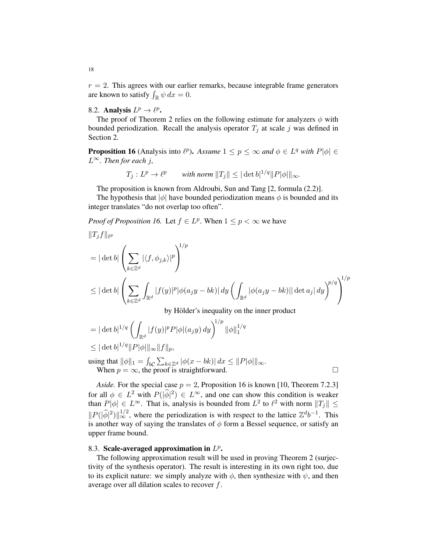$r = 2$ . This agrees with our earlier remarks, because integrable frame generators are known to satisfy  $\int_{\mathbb{R}} \psi \, dx = 0$ .

# 8.2. Analysis  $L^p \to \ell^p$ .

The proof of Theorem 2 relies on the following estimate for analyzers  $\phi$  with bounded periodization. Recall the analysis operator  $T_j$  at scale j was defined in Section 2.

**Proposition 16** (Analysis into  $\ell^p$ ). Assume  $1 \leq p \leq \infty$  and  $\phi \in L^q$  with  $P|\phi| \in$ L∞*. Then for each* j*,*

$$
T_j: L^p \to \ell^p \qquad \text{with norm } \|T_j\| \leq |\det b|^{1/q} \|P|\phi|\|_{\infty}.
$$

The proposition is known from Aldroubi, Sun and Tang [2, formula (2.2)].

The hypothesis that  $|\phi|$  have bounded periodization means  $\phi$  is bounded and its integer translates "do not overlap too often".

*Proof of Proposition 16.* Let  $f \in L^p$ . When  $1 \leq p < \infty$  we have

$$
||T_j f||_{\ell^p}
$$
\n
$$
= |\det b| \left( \sum_{k \in \mathbb{Z}^d} |\langle f, \phi_{j,k} \rangle|^p \right)^{1/p}
$$
\n
$$
\leq |\det b| \left( \sum_{k \in \mathbb{Z}^d} \int_{\mathbb{R}^d} |f(y)|^p |\phi(a_j y - bk)| dy \left( \int_{\mathbb{R}^d} |\phi(a_j y - bk)| |\det a_j| dy \right)^{p/q} \right)^{1/p}
$$
\nby Hölder's inequality on the inner product

by Holder's inequality on the inner product

$$
= |\det b|^{1/q} \left( \int_{\mathbb{R}^d} |f(y)|^p P |\phi|(a_j y) dy \right)^{1/p} ||\phi||_1^{1/q}
$$
  

$$
\leq |\det b|^{1/q} ||P|\phi||_{\infty} ||f||_p,
$$

using that  $\|\phi\|_1 = \int_{b\mathcal{C}} \sum_{k\in\mathbb{Z}^d} |\phi(x-bk)|\,dx \leq \|P|\phi|\|_{\infty}$ . When  $p = \infty$ , the proof is straightforward.

*Aside.* For the special case  $p = 2$ , Proposition 16 is known [10, Theorem 7.2.3] for all  $\phi \in L^2$  with  $P(|\hat{\phi}|^2) \in L^{\infty}$ , and one can show this condition is weaker than  $P|\phi| \in L^{\infty}$ . That is, analysis is bounded from  $L^2$  to  $\ell^2$  with norm  $||T_j|| \leq$  $||P(|\hat{\phi}|^2)||_{\infty}^{1/2}$ , where the periodization is with respect to the lattice  $\mathbb{Z}^d b^{-1}$ . This is another way of saying the translates of  $\phi$  form a Bessel sequence, or satisfy an upper frame bound.

# 8.3. Scale-averaged approximation in  $L^p$ .

The following approximation result will be used in proving Theorem 2 (surjectivity of the synthesis operator). The result is interesting in its own right too, due to its explicit nature: we simply analyze with  $\phi$ , then synthesize with  $\psi$ , and then average over all dilation scales to recover f.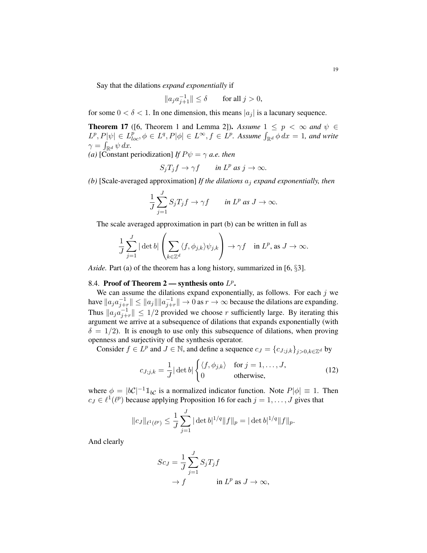Say that the dilations *expand exponentially* if

$$
||a_j a_{j+1}^{-1}|| \le \delta \qquad \text{for all } j > 0,
$$

for some  $0 < \delta < 1$ . In one dimension, this means  $|a_i|$  is a lacunary sequence.

**Theorem 17** ([6, Theorem 1 and Lemma 2]). Assume  $1 \leq p < \infty$  and  $\psi \in$  $L^p, P[\psi] \in L^p_{loc}, \phi \in L^q, P[\phi] \in L^{\infty}, f \in L^p$ . Assume  $\int_{\mathbb{R}^d} \phi \, dx = 1$ , and write  $\gamma = \int_{\mathbb{R}^d} \psi \, dx.$ 

*(a)* [Constant periodization] *If*  $P\psi = \gamma$  *a.e. then* 

$$
S_j T_j f \to \gamma f \qquad \text{in } L^p \text{ as } j \to \infty.
$$

*(b)* [Scale-averaged approximation] *If the dilations* a<sup>j</sup> *expand exponentially, then*

$$
\frac{1}{J}\sum_{j=1}^{J} S_j T_j f \to \gamma f \qquad \text{in } L^p \text{ as } J \to \infty.
$$

The scale averaged approximation in part (b) can be written in full as

$$
\frac{1}{J}\sum_{j=1}^J |\det b|\left(\sum_{k\in\mathbb{Z}^d}\langle f,\phi_{j,k}\rangle\psi_{j,k}\right) \to \gamma f \quad \text{ in } L^p \text{, as } J\to\infty.
$$

*Aside.* Part (a) of the theorem has a long history, summarized in [6, §3].

# 8.4. Proof of Theorem 2 — synthesis onto  $L^p$ .

We can assume the dilations expand exponentially, as follows. For each  $j$  we have  $||a_j a_{j+r}^{-1}|| \le ||a_j|| ||a_{j+r}^{-1}|| \to 0$  as  $r \to \infty$  because the dilations are expanding. Thus  $||a_j a_{j+r}^{-1}|| \le 1/2$  provided we choose r sufficiently large. By iterating this argument we arrive at a subsequence of dilations that expands exponentially (with  $\delta = 1/2$ ). It is enough to use only this subsequence of dilations, when proving openness and surjectivity of the synthesis operator.

Consider  $f \in L^p$  and  $J \in \mathbb{N}$ , and define a sequence  $c_J = \{c_{J;j,k}\}_{j>0,k \in \mathbb{Z}^d}$  by

$$
c_{J;j,k} = \frac{1}{J} |\det b| \begin{cases} \langle f, \phi_{j,k} \rangle & \text{for } j = 1, \dots, J, \\ 0 & \text{otherwise,} \end{cases}
$$
(12)

where  $\phi = |bC|^{-1} \mathbb{1}_{bC}$  is a normalized indicator function. Note  $P|\phi| \equiv 1$ . Then  $c_J \in \ell^1(\ell^p)$  because applying Proposition 16 for each  $j = 1, \ldots, J$  gives that

$$
||c_J||_{\ell^1(\ell^p)} \le \frac{1}{J} \sum_{j=1}^J |\det b|^{1/q} ||f||_p = |\det b|^{1/q} ||f||_p.
$$

And clearly

$$
Sc_J = \frac{1}{J} \sum_{j=1}^{J} S_j T_j f
$$
  
\n
$$
\rightarrow f \qquad \text{in } L^p \text{ as } J \rightarrow \infty,
$$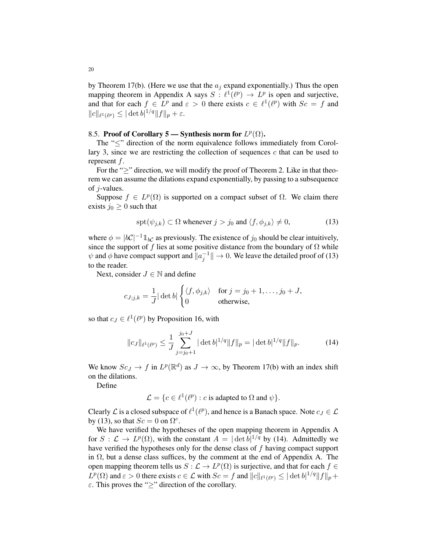by Theorem 17(b). (Here we use that the  $a_i$  expand exponentially.) Thus the open mapping theorem in Appendix A says  $S : \ell^1(\ell^p) \to L^p$  is open and surjective, and that for each  $f \in L^p$  and  $\varepsilon > 0$  there exists  $c \in \ell^1(\ell^p)$  with  $Sc = f$  and  $||c||_{\ell^1(\ell^p)} \leq |\det b|^{1/q} ||f||_p + \varepsilon.$ 

# 8.5. Proof of Corollary 5 — Synthesis norm for  $L^p(\Omega)$ .

The "<" direction of the norm equivalence follows immediately from Corollary 3, since we are restricting the collection of sequences  $c$  that can be used to represent f.

For the "≥" direction, we will modify the proof of Theorem 2. Like in that theorem we can assume the dilations expand exponentially, by passing to a subsequence of j-values.

Suppose  $f \in L^p(\Omega)$  is supported on a compact subset of  $\Omega$ . We claim there exists  $j_0 \geq 0$  such that

$$
\operatorname{spt}(\psi_{j,k}) \subset \Omega \text{ whenever } j > j_0 \text{ and } \langle f, \phi_{j,k} \rangle \neq 0,
$$
 (13)

where  $\phi = |bC|^{-1} \mathbb{1}_{bC}$  as previously. The existence of  $j_0$  should be clear intuitively, since the support of f lies at some positive distance from the boundary of  $\Omega$  while  $\psi$  and  $\phi$  have compact support and  $\|\alpha_j^{-1}\|\to 0$ . We leave the detailed proof of (13) to the reader.

Next, consider  $J \in \mathbb{N}$  and define

$$
c_{J;j,k} = \frac{1}{J} |\det b| \begin{cases} \langle f, \phi_{j,k} \rangle & \text{for } j = j_0 + 1, \dots, j_0 + J, \\ 0 & \text{otherwise,} \end{cases}
$$

so that  $c_J \in \ell^1(\ell^p)$  by Proposition 16, with

$$
||c_J||_{\ell^1(\ell^p)} \le \frac{1}{J} \sum_{j=j_0+1}^{j_0+J} |\det b|^{1/q} ||f||_p = |\det b|^{1/q} ||f||_p.
$$
 (14)

We know  $Sc_J \to f$  in  $L^p(\mathbb{R}^d)$  as  $J \to \infty$ , by Theorem 17(b) with an index shift on the dilations.

Define

 $\mathcal{L} = \{c \in \ell^1(\ell^p) : c \text{ is adapted to } \Omega \text{ and } \psi\}.$ 

Clearly  $\mathcal L$  is a closed subspace of  $\ell^1(\ell^p)$ , and hence is a Banach space. Note  $c_J \in \mathcal L$ by (13), so that  $Sc = 0$  on  $\Omega^c$ .

We have verified the hypotheses of the open mapping theorem in Appendix A for  $S: \mathcal{L} \to L^p(\Omega)$ , with the constant  $A = |\det b|^{1/q}$  by (14). Admittedly we have verified the hypotheses only for the dense class of f having compact support in  $\Omega$ , but a dense class suffices, by the comment at the end of Appendix A. The open mapping theorem tells us  $S: \mathcal{L} \to L^p(\Omega)$  is surjective, and that for each  $f \in$  $L^p(\Omega)$  and  $\varepsilon > 0$  there exists  $c \in \mathcal{L}$  with  $Sc = f$  and  $||c||_{\ell^1(\ell^p)} \leq ||\det b|^{1/q}||f||_p +$  $\varepsilon$ . This proves the ">" direction of the corollary.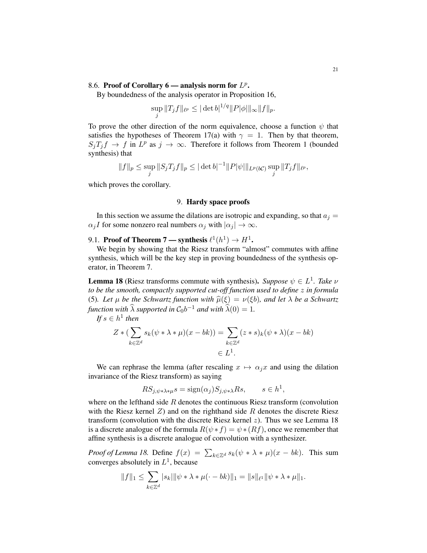# 8.6. Proof of Corollary  $6$  — analysis norm for  $L^p$ .

sup

By boundedness of the analysis operator in Proposition 16,

$$
\sup_j \|T_j f\|_{\ell^p} \le |\det b|^{1/q} \|P|\phi|\|_{\infty} \|f\|_p.
$$

To prove the other direction of the norm equivalence, choose a function  $\psi$  that satisfies the hypotheses of Theorem 17(a) with  $\gamma = 1$ . Then by that theorem,  $S_jT_jf \to f$  in  $L^p$  as  $j \to \infty$ . Therefore it follows from Theorem 1 (bounded synthesis) that

$$
||f||_p \le \sup_j ||S_jT_jf||_p \le |\det b|^{-1} ||P|\psi||_{L^p(b\mathcal{C})} \sup_j ||T_jf||_{\ell^p},
$$

which proves the corollary.

#### 9. Hardy space proofs

In this section we assume the dilations are isotropic and expanding, so that  $a_i =$  $\alpha_j I$  for some nonzero real numbers  $\alpha_j$  with  $|\alpha_j| \to \infty$ .

# 9.1. Proof of Theorem 7 — synthesis  $\ell^{1}(h^{1}) \rightarrow H^{1}$ .

We begin by showing that the Riesz transform "almost" commutes with affine synthesis, which will be the key step in proving boundedness of the synthesis operator, in Theorem 7.

**Lemma 18** (Riesz transforms commute with synthesis). *Suppose*  $\psi \in L^1$ . Take v *to be the smooth, compactly supported cut-off function used to define* z *in formula* (5). Let  $\mu$  be the Schwartz function with  $\widehat{\mu}(\xi) = \nu(\xi b)$ , and let  $\lambda$  be a Schwartz *function with*  $\widehat{\lambda}$  *supported in*  $C_0b^{-1}$  *and with*  $\widehat{\lambda}(0) = 1$ *.* 

If 
$$
s \in h^1
$$
 then

$$
Z * (\sum_{k \in \mathbb{Z}^d} s_k(\psi * \lambda * \mu)(x - bk)) = \sum_{k \in \mathbb{Z}^d} (z * s)_k(\psi * \lambda)(x - bk)
$$
  

$$
\in L^1.
$$

We can rephrase the lemma (after rescaling  $x \mapsto \alpha_j x$  and using the dilation invariance of the Riesz transform) as saying

$$
RS_{j,\psi*\lambda*\mu}s = \text{sign}(\alpha_j)S_{j,\psi*\lambda}Rs, \qquad s \in h^1,
$$

where on the lefthand side  $R$  denotes the continuous Riesz transform (convolution with the Riesz kernel  $Z$ ) and on the righthand side R denotes the discrete Riesz transform (convolution with the discrete Riesz kernel  $z$ ). Thus we see Lemma 18 is a discrete analogue of the formula  $R(\psi * f) = \psi * (Rf)$ , once we remember that affine synthesis is a discrete analogue of convolution with a synthesizer.

*Proof of Lemma 18.* Define  $f(x) = \sum_{k \in \mathbb{Z}^d} s_k(\psi * \lambda * \mu)(x - bk)$ . This sum converges absolutely in  $L^1$ , because

$$
||f||_1 \leq \sum_{k \in \mathbb{Z}^d} |s_k| ||\psi * \lambda * \mu(\cdot - bk)||_1 = ||s||_{\ell^1} ||\psi * \lambda * \mu||_1.
$$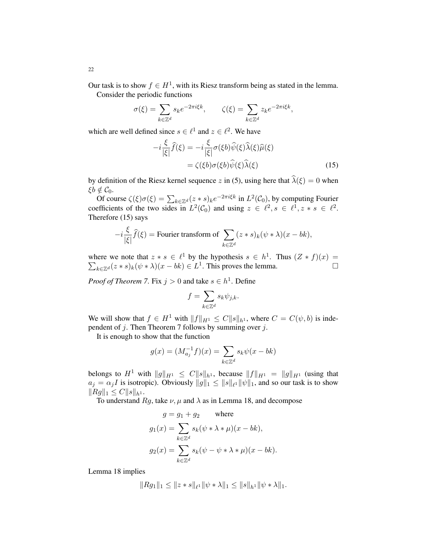Our task is to show  $f \in H^1$ , with its Riesz transform being as stated in the lemma. Consider the periodic functions

$$
\sigma(\xi) = \sum_{k \in \mathbb{Z}^d} s_k e^{-2\pi i \xi k}, \qquad \zeta(\xi) = \sum_{k \in \mathbb{Z}^d} z_k e^{-2\pi i \xi k},
$$

which are well defined since  $s \in \ell^1$  and  $z \in \ell^2$ . We have

$$
-i\frac{\xi}{|\xi|}\hat{f}(\xi) = -i\frac{\xi}{|\xi|}\sigma(\xi b)\hat{\psi}(\xi)\hat{\lambda}(\xi)\hat{\mu}(\xi)
$$

$$
= \zeta(\xi b)\sigma(\xi b)\hat{\psi}(\xi)\hat{\lambda}(\xi)
$$
(15)

by definition of the Riesz kernel sequence z in (5), using here that  $\hat{\lambda}(\xi) = 0$  when  $\xi b \notin \mathcal{C}_0$ .

Of course  $\zeta(\xi)\sigma(\xi) = \sum_{k \in \mathbb{Z}^d} (z * s)_k e^{-2\pi i \xi k}$  in  $L^2(\mathcal{C}_0)$ , by computing Fourier coefficients of the two sides in  $L^2(\mathcal{C}_0)$  and using  $z \in \ell^2, s \in \ell^1, z * s \in \ell^2$ . Therefore (15) says

$$
-i\frac{\xi}{|\xi|}\widehat{f}(\xi) = \text{Fourier transform of } \sum_{k \in \mathbb{Z}^d} (z * s)_k (\psi * \lambda)(x - bk),
$$

where we note that  $z * s \in \ell^1$  by the hypothesis  $s \in h^1$ . Thus  $(Z * f)(x) =$  $\sum_{k\in\mathbb{Z}^d}(z*s)_k(\psi*\lambda)(x-bk)\in L^1$ . This proves the lemma.

*Proof of Theorem 7.* Fix  $j > 0$  and take  $s \in h^1$ . Define

$$
f=\sum_{k\in\mathbb{Z}^d} s_k\psi_{j,k}.
$$

We will show that  $f \in H^1$  with  $||f||_{H^1} \leq C||s||_{h^1}$ , where  $C = C(\psi, b)$  is independent of  $j$ . Then Theorem 7 follows by summing over  $j$ .

It is enough to show that the function

$$
g(x) = (M_{a_j}^{-1}f)(x) = \sum_{k \in \mathbb{Z}^d} s_k \psi(x - bk)
$$

belongs to  $H^1$  with  $||g||_{H^1} \leq C||s||_{h^1}$ , because  $||f||_{H^1} = ||g||_{H^1}$  (using that  $a_j = \alpha_j I$  is isotropic). Obviously  $||g||_1 \leq ||s||_{\ell^1} ||\psi||_1$ , and so our task is to show  $||Rg||_1 \leq C ||s||_{h^1}.$ 

To understand  $Rg$ , take  $\nu$ ,  $\mu$  and  $\lambda$  as in Lemma 18, and decompose

$$
g = g_1 + g_2 \quad \text{where}
$$
  
\n
$$
g_1(x) = \sum_{k \in \mathbb{Z}^d} s_k(\psi * \lambda * \mu)(x - bk),
$$
  
\n
$$
g_2(x) = \sum_{k \in \mathbb{Z}^d} s_k(\psi - \psi * \lambda * \mu)(x - bk).
$$

Lemma 18 implies

$$
||Rg_1||_1 \leq ||z * s||_{\ell^1} ||\psi * \lambda||_1 \leq ||s||_{h^1} ||\psi * \lambda||_1.
$$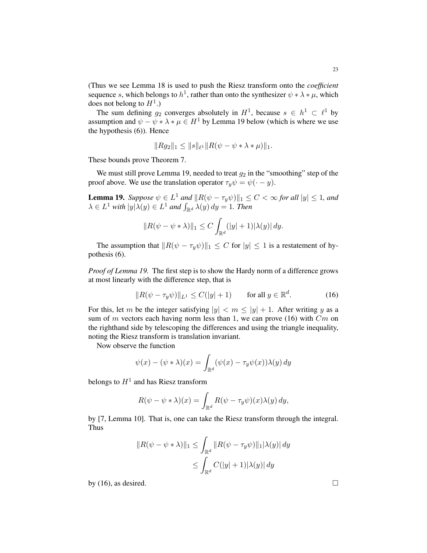(Thus we see Lemma 18 is used to push the Riesz transform onto the *coefficient* sequence s, which belongs to  $h^1$ , rather than onto the synthesizer  $\psi * \lambda * \mu$ , which does not belong to  $H^1$ .)

The sum defining  $g_2$  converges absolutely in  $H^1$ , because  $s \in h^1 \subset \ell^1$  by assumption and  $\psi - \psi * \lambda * \mu \in H^1$  by Lemma 19 below (which is where we use the hypothesis (6)). Hence

$$
||Rg_2||_1 \leq ||s||_{\ell^1} ||R(\psi - \psi * \lambda * \mu)||_1.
$$

These bounds prove Theorem 7.

We must still prove Lemma 19, needed to treat  $g_2$  in the "smoothing" step of the proof above. We use the translation operator  $\tau_y \psi = \psi(\cdot - y)$ .

**Lemma 19.** Suppose  $\psi \in L^1$  and  $\|R(\psi - \tau_y \psi)\|_1 \le C < \infty$  for all  $|y| \le 1$ , and  $\lambda \in L^1$  with  $|y| \lambda(y) \in L^1$  and  $\int_{\mathbb{R}^d} \lambda(y) dy = 1$ . Then

$$
||R(\psi - \psi * \lambda)||_1 \leq C \int_{\mathbb{R}^d} (|y| + 1) |\lambda(y)| dy.
$$

The assumption that  $||R(\psi - \tau_y \psi)||_1 \leq C$  for  $|y| \leq 1$  is a restatement of hypothesis (6).

*Proof of Lemma 19.* The first step is to show the Hardy norm of a difference grows at most linearly with the difference step, that is

$$
||R(\psi - \tau_y \psi)||_{L^1} \le C(|y| + 1) \quad \text{for all } y \in \mathbb{R}^d.
$$
 (16)

For this, let m be the integer satisfying  $|y| < m \le |y| + 1$ . After writing y as a sum of m vectors each having norm less than 1, we can prove (16) with  $Cm$  on the righthand side by telescoping the differences and using the triangle inequality, noting the Riesz transform is translation invariant.

Now observe the function

$$
\psi(x) - (\psi * \lambda)(x) = \int_{\mathbb{R}^d} (\psi(x) - \tau_y \psi(x)) \lambda(y) dy
$$

belongs to  $H^1$  and has Riesz transform

$$
R(\psi - \psi * \lambda)(x) = \int_{\mathbb{R}^d} R(\psi - \tau_y \psi)(x) \lambda(y) dy,
$$

by [7, Lemma 10]. That is, one can take the Riesz transform through the integral. Thus

$$
||R(\psi - \psi * \lambda)||_1 \le \int_{\mathbb{R}^d} ||R(\psi - \tau_y \psi)||_1 |\lambda(y)| dy
$$
  

$$
\le \int_{\mathbb{R}^d} C(|y| + 1) |\lambda(y)| dy
$$

by (16), as desired.  $\Box$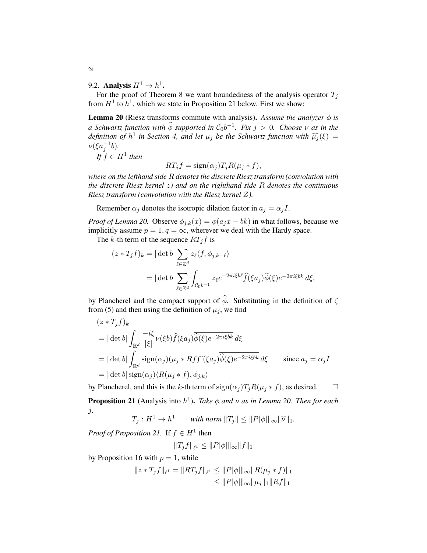9.2. Analysis  $H^1 \to h^1$ .

For the proof of Theorem 8 we want boundedness of the analysis operator  $T_i$ from  $H^1$  to  $h^1$ , which we state in Proposition 21 below. First we show:

**Lemma 20** (Riesz transforms commute with analysis). Assume the analyzer  $\phi$  is *a Schwartz function with*  $\widehat{\phi}$  *supported in*  $C_0b^{-1}$ *. Fix*  $j > 0$ *. Choose*  $\nu$  *as in the definition of*  $h^1$  *in Section 4, and let*  $\mu_j$  *be the Schwartz function with*  $\widehat{\mu_j}(\xi) =$ <br> $u(\xi e^{-1}h)$  $\nu(\xi a_j^{-1}b)$ .

 $If f \in H^1$  then

$$
RT_j f = sign(\alpha_j) T_j R(\mu_j * f),
$$

*where on the lefthand side* R *denotes the discrete Riesz transform (convolution with the discrete Riesz kernel* z*) and on the righthand side* R *denotes the continuous Riesz transform (convolution with the Riesz kernel* Z*).*

Remember  $\alpha_j$  denotes the isotropic dilation factor in  $a_j = \alpha_j I$ .

*Proof of Lemma 20.* Observe  $\phi_{j,k}(x) = \phi(a_j x - bk)$  in what follows, because we implicitly assume  $p = 1, q = \infty$ , wherever we deal with the Hardy space.

The k-th term of the sequence  $RT_jf$  is

$$
(z * T_j f)_k = |\det b| \sum_{\ell \in \mathbb{Z}^d} z_{\ell} \langle f, \phi_{j,k-\ell} \rangle
$$
  
= |\det b| \sum\_{\ell \in \mathbb{Z}^d} \int\_{C\_0 b^{-1}} z\_{\ell} e^{-2\pi i \xi b \ell} \hat{f}(\xi a\_j) \overline{\hat{\phi}(\xi)} e^{-2\pi i \xi b k} d\xi,

by Plancherel and the compact support of  $\widehat{\phi}$ . Substituting in the definition of  $\zeta$ from (5) and then using the definition of  $\mu_j$ , we find

$$
(z * T_j f)_k
$$
  
=  $|\det b| \int_{\mathbb{R}^d} \frac{-i\xi}{|\xi|} \nu(\xi b) \hat{f}(\xi a_j) \overline{\hat{\phi}(\xi)} e^{-2\pi i \xi b k} d\xi$   
=  $|\det b| \int_{\mathbb{R}^d} \text{sign}(\alpha_j) (\mu_j * Rf) (\xi a_j) \overline{\hat{\phi}(\xi)} e^{-2\pi i \xi b k} d\xi$  since  $a_j = \alpha_j I$   
=  $|\det b| \text{sign}(\alpha_j) \langle R(\mu_j * f), \phi_{j,k} \rangle$ 

by Plancherel, and this is the k-th term of  $sign(\alpha_j)T_jR(\mu_j * f)$ , as desired.  $\square$ **Proposition 21** (Analysis into  $h^1$ ). *Take*  $\phi$  *and*  $\nu$  *as in Lemma 20. Then for each* j*,*

 $T_j : H^1 \to h^1$  *with norm*  $||T_j|| \le ||P|\phi|||_{\infty} ||\breve{\nu}||_1$ .

*Proof of Proposition 21.* If  $f \in H^1$  then

$$
||T_jf||_{\ell^1} \leq ||P|\phi|||_{\infty}||f||_1
$$

by Proposition 16 with  $p = 1$ , while

$$
||z * T_j f||_{\ell^1} = ||RT_j f||_{\ell^1} \le ||P|\phi|||_{\infty} ||R(\mu_j * f)||_1
$$
  

$$
\le ||P|\phi|||_{\infty} ||\mu_j||_1 ||Rf||_1
$$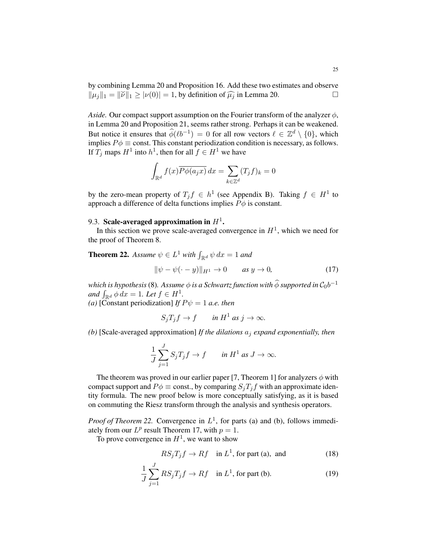by combining Lemma 20 and Proposition 16. Add these two estimates and observe by comoning Lemma 20 and Proposition 10.1 Red and two estimates and observe  $\|\mu_j\|_1 = \|\tilde{\nu}\|_1 \geq |\nu(0)| = 1$ , by definition of  $\hat{\mu}_j$  in Lemma 20.

*Aside.* Our compact support assumption on the Fourier transform of the analyzer  $\phi$ , in Lemma 20 and Proposition 21, seems rather strong. Perhaps it can be weakened. But notice it ensures that  $\widehat{\phi}(\ell b^{-1}) = 0$  for all row vectors  $\ell \in \mathbb{Z}^d \setminus \{0\}$ , which implies  $P\phi \equiv \text{const.}$  This constant periodization condition is necessary, as follows. If  $T_j$  maps  $H^1$  into  $h^1$ , then for all  $f \in H^1$  we have

$$
\int_{\mathbb{R}^d} f(x) \overline{P\phi(a_j x)} dx = \sum_{k \in \mathbb{Z}^d} (T_j f)_k = 0
$$

by the zero-mean property of  $T_j f \in h^1$  (see Appendix B). Taking  $f \in H^1$  to approach a difference of delta functions implies  $P\phi$  is constant.

# 9.3. Scale-averaged approximation in  $H^1$ .

In this section we prove scale-averaged convergence in  $H<sup>1</sup>$ , which we need for the proof of Theorem 8.

**Theorem 22.** Assume  $\psi \in L^1$  with  $\int_{\mathbb{R}^d} \psi \, dx = 1$  and

$$
\|\psi - \psi(\cdot - y)\|_{H^1} \to 0 \qquad \text{as } y \to 0,
$$
\n(17)

*which is hypothesis* (8). Assume  $\phi$  *is a Schwartz function with*  $\widehat{\phi}$  *supported in*  $C_0b^{-1}$ *and*  $\int_{\mathbb{R}^d} \phi \, dx = 1$ *. Let*  $f \in H^1$ *.* 

*(a)* [Constant periodization] *If*  $P\psi = 1$  *a.e. then* 

$$
S_j T_j f \to f \qquad \text{in } H^1 \text{ as } j \to \infty.
$$

*(b)* [Scale-averaged approximation] *If the dilations* a<sup>j</sup> *expand exponentially, then*

$$
\frac{1}{J}\sum_{j=1}^{J} S_j T_j f \to f \qquad \text{in } H^1 \text{ as } J \to \infty.
$$

The theorem was proved in our earlier paper [7, Theorem 1] for analyzers  $\phi$  with compact support and  $P\phi \equiv \text{const.}$ , by comparing  $S_jT_jf$  with an approximate identity formula. The new proof below is more conceptually satisfying, as it is based on commuting the Riesz transform through the analysis and synthesis operators.

*Proof of Theorem 22.* Convergence in  $L^1$ , for parts (a) and (b), follows immediately from our  $L^p$  result Theorem 17, with  $p = 1$ .

To prove convergence in  $H^1$ , we want to show

$$
RS_j T_j f \to Rf \quad \text{in } L^1 \text{, for part (a), and} \tag{18}
$$

$$
\frac{1}{J} \sum_{j=1}^{J} RS_j T_j f \to Rf \quad \text{in } L^1 \text{, for part (b).}
$$
 (19)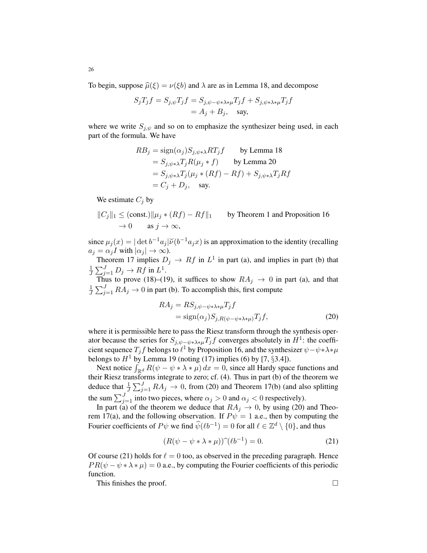To begin, suppose  $\hat{\mu}(\xi) = \nu(\xi b)$  and  $\lambda$  are as in Lemma 18, and decompose

$$
S_j T_j f = S_{j,\psi} T_j f = S_{j,\psi - \psi * \lambda * \mu} T_j f + S_{j,\psi * \lambda * \mu} T_j f
$$
  
= A<sub>j</sub> + B<sub>j</sub>, say,

where we write  $S_{j,\psi}$  and so on to emphasize the synthesizer being used, in each part of the formula. We have

$$
RB_j = sign(\alpha_j)S_{j,\psi*\lambda}RT_jf
$$
 by Lemma 18  
=  $S_{j,\psi*\lambda}T_jR(\mu_j * f)$  by Lemma 20  
=  $S_{j,\psi*\lambda}T_j(\mu_j * (Rf) - Rf) + S_{j,\psi*\lambda}T_jRf$   
=  $C_j + D_j$ , say.

We estimate  $C_i$  by

$$
||C_j||_1 \leq (const.)||\mu_j * (Rf) - Rf||_1 \qquad \text{by Theorem 1 and Proposition 16}
$$
  

$$
\to 0 \qquad \text{as } j \to \infty,
$$

since  $\mu_j(x) = |\det b^{-1}a_j|\breve{\nu}(b^{-1}a_jx)$  is an approximation to the identity (recalling  $a_j = \alpha_j I$  with  $|\alpha_j| \to \infty$ ).

Theorem 17 implies  $D_j \to Rf$  in  $L^1$  in part (a), and implies in part (b) that 1  $\frac{1}{J}\sum_{j=1}^{J} D_j \rightarrow Rf$  in  $L^1$ .

Thus to prove (18)–(19), it suffices to show  $RA_j \rightarrow 0$  in part (a), and that 1  $\frac{1}{J}\sum_{j=1}^{J} RA_j \rightarrow 0$  in part (b). To accomplish this, first compute

$$
RA_j = RS_{j, \psi - \psi * \lambda * \mu} T_j f
$$
  
= sign( $\alpha_j$ ) $S_{j, R(\psi - \psi * \lambda * \mu)} T_j f$ , (20)

where it is permissible here to pass the Riesz transform through the synthesis operator because the series for  $S_{j,\psi-\psi*\lambda*\mu}T_jf$  converges absolutely in  $H^1$ : the coefficient sequence  $T_j f$  belongs to  $\ell^1$  by Proposition 16, and the synthesizer  $\psi - \psi * \lambda * \mu$ belongs to  $H^1$  by Lemma 19 (noting (17) implies (6) by [7,  $\S 3.4$ ]).

Next notice  $\int_{\mathbb{R}^d} R(\psi - \psi * \lambda * \mu) dx = 0$ , since all Hardy space functions and their Riesz transforms integrate to zero; cf. (4). Thus in part (b) of the theorem we deduce that  $\frac{1}{J}\sum_{j=1}^{J} RA_j \rightarrow 0$ , from (20) and Theorem 17(b) (and also splitting the sum  $\sum_{j=1}^{J}$  into two pieces, where  $\alpha_j > 0$  and  $\alpha_j < 0$  respectively).

In part (a) of the theorem we deduce that  $RA_j \rightarrow 0$ , by using (20) and Theorem 17(a), and the following observation. If  $P\psi = 1$  a.e., then by computing the Fourier coefficients of  $P\psi$  we find  $\hat{\psi}(\ell b^{-1}) = 0$  for all  $\ell \in \mathbb{Z}^d \setminus \{0\}$ , and thus

$$
(R(\psi - \psi * \lambda * \mu))\hat{ } (\ell b^{-1}) = 0.
$$
 (21)

Of course (21) holds for  $\ell = 0$  too, as observed in the preceding paragraph. Hence  $PR(\psi - \psi * \lambda * \mu) = 0$  a.e., by computing the Fourier coefficients of this periodic function.

This finishes the proof.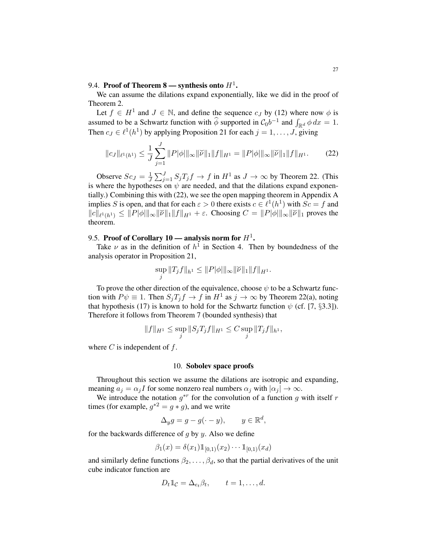# 9.4. Proof of Theorem 8 — synthesis onto  $H^1$ .

We can assume the dilations expand exponentially, like we did in the proof of Theorem 2.

Let  $f \in H^1$  and  $J \in \mathbb{N}$ , and define the sequence  $c_J$  by (12) where now  $\phi$  is assumed to be a Schwartz function with  $\hat{\phi}$  supported in  $C_0b^{-1}$  and  $\int_{\mathbb{R}^d} \phi \, dx = 1$ . Then  $c_j \in \ell^1(h^1)$  by applying Proposition 21 for each  $j = 1, \ldots, J$ , giving

$$
||c_J||_{\ell^1(h^1)} \le \frac{1}{J} \sum_{j=1}^J ||P|\phi||_{\infty} ||\breve{\nu}||_1 ||f||_{H^1} = ||P|\phi||_{\infty} ||\breve{\nu}||_1 ||f||_{H^1}.
$$
 (22)

Observe  $Sc_J = \frac{1}{J}$  $\frac{1}{J}\sum_{j=1}^{J} S_j T_j f \to f$  in  $H^1$  as  $J \to \infty$  by Theorem 22. (This is where the hypotheses on  $\psi$  are needed, and that the dilations expand exponentially.) Combining this with (22), we see the open mapping theorem in Appendix A implies S is open, and that for each  $\varepsilon > 0$  there exists  $c \in \ell^1(h^1)$  with  $Sc = f$  and  $||c||_{\ell^1(h^1)} \leq ||P|\phi||||_{\infty} ||\check{\nu}||_1 ||f||_{H^1} + \varepsilon$ . Choosing  $C = ||P|\phi||||_{\infty} ||\check{\nu}||_1$  proves the theorem.

# 9.5. Proof of Corollary 10 — analysis norm for  $H^1$ .

Take  $\nu$  as in the definition of  $h^1$  in Section 4. Then by boundedness of the analysis operator in Proposition 21,

$$
\sup_j \|T_jf\|_{h^1} \leq \|P|\phi|\|\infty \|\breve{\nu}\|_1 \|f\|_{H^1}.
$$

To prove the other direction of the equivalence, choose  $\psi$  to be a Schwartz function with  $P\psi \equiv 1$ . Then  $S_jT_jf \to f$  in  $H^1$  as  $j \to \infty$  by Theorem 22(a), noting that hypothesis (17) is known to hold for the Schwartz function  $\psi$  (cf. [7, §3.3]). Therefore it follows from Theorem 7 (bounded synthesis) that

$$
||f||_{H^1} \le \sup_j ||S_j T_j f||_{H^1} \le C \sup_j ||T_j f||_{h^1},
$$

where  $C$  is independent of  $f$ .

### 10. Sobolev space proofs

Throughout this section we assume the dilations are isotropic and expanding, meaning  $a_i = \alpha_i I$  for some nonzero real numbers  $\alpha_i$  with  $|\alpha_i| \to \infty$ .

We introduce the notation  $g^{*r}$  for the convolution of a function g with itself r times (for example,  $g^{*2} = g * g$ ), and we write

$$
\Delta_y g = g - g(\cdot - y), \qquad y \in \mathbb{R}^d,
$$

for the backwards difference of  $g$  by  $y$ . Also we define

$$
\beta_1(x) = \delta(x_1) 1\!\!1_{[0,1)}(x_2) \cdots 1\!\!1_{[0,1)}(x_d)
$$

and similarly define functions  $\beta_2, \dots, \beta_d$ , so that the partial derivatives of the unit cube indicator function are

$$
D_t \mathbb{1}_{\mathcal{C}} = \Delta_{e_t} \beta_t, \qquad t = 1, \dots, d.
$$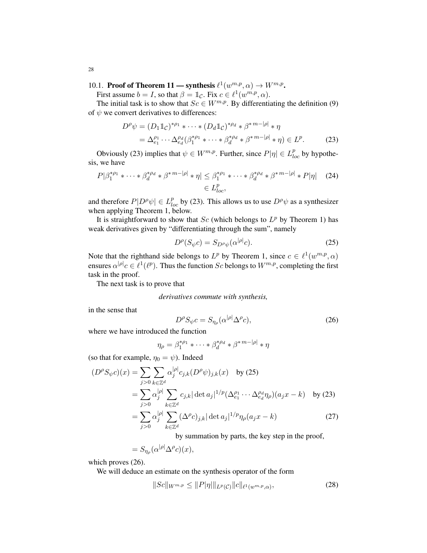# 10.1. Proof of Theorem 11 — synthesis  $\ell^1(w^{m,p}, \alpha) \to W^{m,p}$ .

First assume  $b = I$ , so that  $\beta = \mathbb{1}_{\mathcal{C}}$ . Fix  $c \in \ell^1(w^{m,p}, \alpha)$ .

The initial task is to show that  $Sc \in W^{m,p}$ . By differentiating the definition (9) of  $\psi$  we convert derivatives to differences:

$$
D^{\rho}\psi = (D_1 \mathbb{1}_{\mathcal{C}})^{*\rho_1} * \cdots * (D_d \mathbb{1}_{\mathcal{C}})^{*\rho_d} * \beta^{*m-|\rho|} * \eta
$$
  
=  $\Delta_{e_1}^{\rho_1} \cdots \Delta_{e_d}^{\rho_d} (\beta_1^{*\rho_1} * \cdots * \beta_d^{*\rho_d} * \beta^{*m-|\rho|} * \eta) \in L^p.$  (23)

Obviously (23) implies that  $\psi \in W^{m,p}$ . Further, since  $P|\eta| \in L_{loc}^p$  by hypothesis, we have

$$
P|\beta_1^{*p_1} * \cdots * \beta_d^{*p_d} * \beta^{*m-|\rho|} * \eta| \leq \beta_1^{*p_1} * \cdots * \beta_d^{*p_d} * \beta^{*m-|\rho|} * P|\eta| \quad (24)
$$
  

$$
\in L^p_{loc},
$$

and therefore  $P|D^{\rho}\psi| \in L_{loc}^{p}$  by (23). This allows us to use  $D^{\rho}\psi$  as a synthesizer when applying Theorem 1, below.

It is straightforward to show that  $Sc$  (which belongs to  $L^p$  by Theorem 1) has weak derivatives given by "differentiating through the sum", namely

$$
D^{\rho}(S_{\psi}c) = S_{D^{\rho}\psi}(\alpha^{|\rho|}c). \tag{25}
$$

Note that the righthand side belongs to  $L^p$  by Theorem 1, since  $c \in \ell^1(w^{m,p}, \alpha)$ ensures  $\alpha^{|\rho|}c \in \ell^1(\ell^p)$ . Thus the function Sc belongs to  $W^{m,p}$ , completing the first task in the proof.

The next task is to prove that

*derivatives commute with synthesis,*

in the sense that

$$
D^{\rho} S_{\psi} c = S_{\eta_{\rho}}(\alpha^{|\rho|} \Delta^{\rho} c), \tag{26}
$$

where we have introduced the function

$$
\eta_{\rho} = \beta_1^{*\rho_1} * \cdots * \beta_d^{*\rho_d} * \beta^{*m-|\rho|} * \eta
$$

(so that for example,  $\eta_0 = \psi$ ). Indeed

$$
(D^{\rho}S_{\psi}c)(x) = \sum_{j>0} \sum_{k \in \mathbb{Z}^d} \alpha_j^{|\rho|} c_{j,k} (D^{\rho} \psi)_{j,k}(x) \text{ by (25)}
$$
  
\n
$$
= \sum_{j>0} \alpha_j^{|\rho|} \sum_{k \in \mathbb{Z}^d} c_{j,k} |\det a_j|^{1/p} (\Delta_{e_1}^{\rho_1} \cdots \Delta_{e_d}^{\rho_d} \eta_{\rho}) (a_j x - k) \text{ by (23)}
$$
  
\n
$$
= \sum_{j>0} \alpha_j^{|\rho|} \sum_{k \in \mathbb{Z}^d} (\Delta^{\rho}c)_{j,k} |\det a_j|^{1/p} \eta_{\rho}(a_j x - k)
$$
 (27)

by summation by parts, the key step in the proof,

$$
=S_{\eta_{\rho}}(\alpha^{|\rho|}\Delta^{\rho}c)(x),
$$

which proves (26).

We will deduce an estimate on the synthesis operator of the form

$$
||Sc||_{W^{m,p}} \le ||P|\eta||_{L^p(\mathcal{C})} ||c||_{\ell^1(w^{m,p},\alpha)},
$$
\n(28)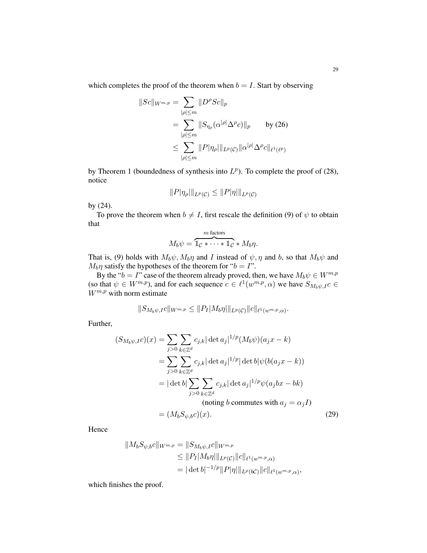which completes the proof of the theorem when  $b = I$ . Start by observing

$$
||Sc||_{W^{m,p}} = \sum_{|\rho| \le m} ||D^{\rho} Sc||_p
$$
  
= 
$$
\sum_{|\rho| \le m} ||S_{\eta_{\rho}}(\alpha^{|\rho|} \Delta^{\rho} c)||_p
$$
 by (26)  

$$
\le \sum_{|\rho| \le m} ||P|\eta_{\rho}||_{L^p(\mathcal{C})} ||\alpha^{|\rho|} \Delta^{\rho} c||_{\ell^1(\ell^p)}
$$

by Theorem 1 (boundedness of synthesis into  $L^p$ ). To complete the proof of (28), notice

$$
||P|\eta_{\rho}||_{L^p(\mathcal{C})} \leq ||P|\eta||_{L^p(\mathcal{C})}
$$

by (24).

To prove the theorem when  $b \neq I$ , first rescale the definition (9) of  $\psi$  to obtain that

$$
M_b \psi = \overbrace{\mathbb{1}_{\mathcal{C}} * \cdots * \mathbb{1}_{\mathcal{C}} * M_b \eta}^{m \text{ factors}}.
$$

That is, (9) holds with  $M_b\psi$ ,  $M_b\eta$  and I instead of  $\psi$ ,  $\eta$  and b, so that  $M_b\psi$  and  $M_b \eta$  satisfy the hypotheses of the theorem for " $b = I$ ".

By the " $b = I$ " case of the theorem already proved, then, we have  $M_b \psi \in W^{m,p}$ (so that  $\psi \in W^{m,p}$ ), and for each sequence  $c \in \ell^1(w^{m,p}, \alpha)$  we have  $S_{M_b\psi, I}c \in$  $W^{m,p}$  with norm estimate

$$
||S_{M_b\psi,I}c||_{W^{m,p}} \leq ||P_I|M_b\eta||_{L^p(\mathcal{C})}||c||_{\ell^1(w^{m,p},\alpha)}.
$$

Further,

$$
(S_{M_b\psi,I}c)(x) = \sum_{j>0} \sum_{k \in \mathbb{Z}^d} c_{j,k} |\det a_j|^{1/p} (M_b\psi)(a_j x - k)
$$
  

$$
= \sum_{j>0} \sum_{k \in \mathbb{Z}^d} c_{j,k} |\det a_j|^{1/p} |\det b| \psi(b(a_j x - k))
$$
  

$$
= |\det b| \sum_{j>0} \sum_{k \in \mathbb{Z}^d} c_{j,k} |\det a_j|^{1/p} \psi(a_j bx - bk)
$$
  
(noting *b* commutes with  $a_j = \alpha_j I$ )  

$$
= (M_b S_{\psi,b}c)(x).
$$
 (29)

Hence

$$
||M_bS_{\psi,b}c||_{W^{m,p}} = ||S_{M_b\psi,I}c||_{W^{m,p}}
$$
  
\n
$$
\leq ||P_I|M_b\eta||_{L^p(\mathcal{C})}||c||_{\ell^1(w^{m,p},\alpha)}
$$
  
\n
$$
= |\det b|^{-1/p}||P|\eta||_{L^p(b\mathcal{C})}||c||_{\ell^1(w^{m,p},\alpha)},
$$

which finishes the proof.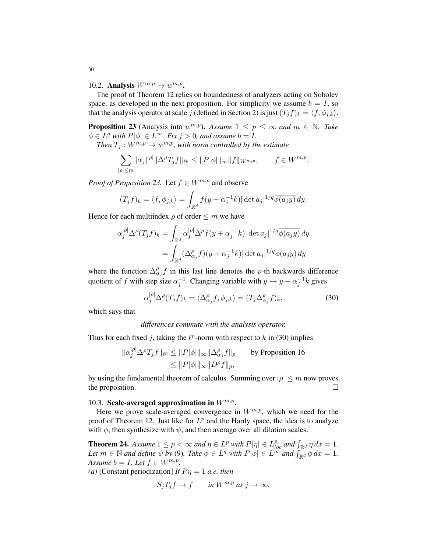10.2. Analysis  $W^{m,p} \to w^{m,p}$ .

The proof of Theorem 12 relies on boundedness of analyzers acting on Sobolev space, as developed in the next proposition. For simplicity we assume  $b = I$ , so that the analysis operator at scale j (defined in Section 2) is just  $(T_j f)_k = \langle f, \phi_{j,k} \rangle$ .

**Proposition 23** (Analysis into  $w^{m,p}$ ). *Assume*  $1 \leq p \leq \infty$  *and*  $m \in \mathbb{N}$ . *Take*  $\phi \in L^q$  with  $P[\phi] \in L^{\infty}$ . Fix  $j > 0$ , and assume  $b = I$ .

*Then*  $T_j: W^{m,p} \to w^{m,p}$ , with norm controlled by the estimate

$$
\sum_{|\rho| \le m} |\alpha_j|^{|\rho|} \|\Delta^{\rho} T_j f\|_{\ell^p} \le \|P|\phi|\|_{\infty} \|f\|_{W^{m,p}}, \qquad f \in W^{m,p}.
$$

*Proof of Proposition 23.* Let  $f \in W^{m,p}$  and observe

$$
(T_j f)_k = \langle f, \phi_{j,k} \rangle = \int_{\mathbb{R}^d} f(y + \alpha_j^{-1} k) |\det a_j|^{1/q} \overline{\phi(a_j y)} dy.
$$

Hence for each multiindex  $\rho$  of order  $\leq m$  we have

$$
\alpha_j^{|\rho|} \Delta^{\rho} (T_j f)_k = \int_{\mathbb{R}^d} \alpha_j^{|\rho|} \Delta^{\rho} f(y + \alpha_j^{-1} k) |\det a_j|^{1/q} \overline{\phi(a_j y)} dy
$$
  
= 
$$
\int_{\mathbb{R}^d} (\Delta_{\alpha_j}^{\rho} f)(y + \alpha_j^{-1} k) |\det a_j|^{1/q} \overline{\phi(a_j y)} dy
$$

where the function  $\Delta_{\alpha}^{\rho} f$  in this last line denotes the  $\rho$ -th backwards difference quotient of f with step size  $\alpha_j^{-1}$ . Changing variable with  $y \mapsto y - \alpha_j^{-1}k$  gives

$$
\alpha_j^{|\rho|} \Delta^{\rho} (T_j f)_k = \langle \Delta^{\rho}_{\alpha_j} f, \phi_{j,k} \rangle = (T_j \Delta^{\rho}_{\alpha_j} f)_k, \tag{30}
$$

which says that

*differences commute with the analysis operator.*

Thus for each fixed j, taking the  $\ell^p$ -norm with respect to k in (30) implies

$$
\|\alpha_j^{|\rho|}\Delta^{\rho}T_jf\|_{\ell^p} \le \|P|\phi|\|_{\infty}\|\Delta_{\alpha_j}^{\rho}f\|_p \qquad \text{by Proposition 16}
$$
  

$$
\le \|P|\phi|\|_{\infty}\|D^{\rho}f\|_p,
$$

by using the fundamental theorem of calculus. Summing over  $|\rho| \leq m$  now proves the proposition.  $\Box$ 

# 10.3. Scale-averaged approximation in  $W^{m,p}$ .

Here we prove scale-averaged convergence in  $W^{m,p}$ , which we need for the proof of Theorem 12. Just like for  $L^p$  and the Hardy space, the idea is to analyze with  $\phi$ , then synthesize with  $\psi$ , and then average over all dilation scales.

**Theorem 24.** Assume  $1 \le p < \infty$  and  $\eta \in L^p$  with  $P|\eta| \in L^p_{loc}$  and  $\int_{\mathbb{R}^d} \eta \, dx = 1$ . *Let*  $m \in \mathbb{N}$  and define  $\psi$  by (9). Take  $\phi \in L^q$  with  $P|\phi| \in L^{\infty}$  and  $\int_{\mathbb{R}^d}^{\infty} \phi \, dx = 1$ . *Assume*  $b = I$ *. Let*  $f \in W^{m,p}$ *.* 

*(a)* [Constant periodization] *If*  $P\eta = 1$  *a.e. then* 

$$
S_j T_j f \to f \qquad \text{in } W^{m,p} \text{ as } j \to \infty.
$$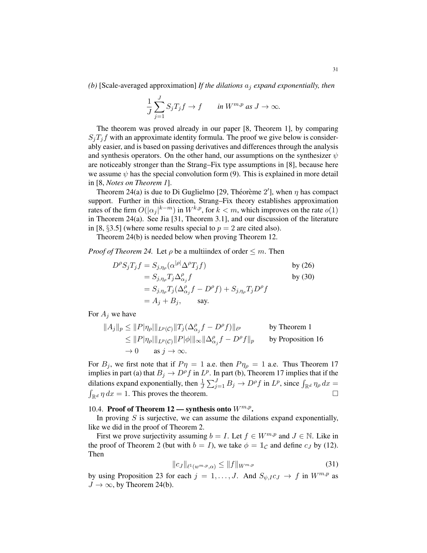*(b)* [Scale-averaged approximation] *If the dilations* a<sup>j</sup> *expand exponentially, then*

$$
\frac{1}{J}\sum_{j=1}^{J} S_j T_j f \to f \qquad \text{in } W^{m,p} \text{ as } J \to \infty.
$$

The theorem was proved already in our paper [8, Theorem 1], by comparing  $S_i T_j f$  with an approximate identity formula. The proof we give below is considerably easier, and is based on passing derivatives and differences through the analysis and synthesis operators. On the other hand, our assumptions on the synthesizer  $\psi$ are noticeably stronger than the Strang–Fix type assumptions in [8], because here we assume  $\psi$  has the special convolution form (9). This is explained in more detail in [8, *Notes on Theorem 1*].

Theorem 24(a) is due to Di Guglielmo [29, Théorème 2'], when  $\eta$  has compact support. Further in this direction, Strang–Fix theory establishes approximation rates of the firm  $O(|\alpha_j|^{k-m})$  in  $W^{k,p}$ , for  $k < m$ , which improves on the rate  $o(1)$ in Theorem 24(a). See Jia [31, Theorem 3.1], and our discussion of the literature in [8,  $\S 3.5$ ] (where some results special to  $p = 2$  are cited also).

Theorem 24(b) is needed below when proving Theorem 12.

*Proof of Theorem 24.* Let  $\rho$  be a multiindex of order  $\leq m$ . Then

$$
D^{\rho} S_j T_j f = S_{j,\eta_{\rho}} (\alpha^{|\rho|} \Delta^{\rho} T_j f)
$$
 by (26)  
=  $S_{j,\eta_{\rho}} T_j \Delta^{\rho}_{\alpha_j} f$  by (30)  
=  $S_{j,\eta_{\rho}} T_j (\Delta^{\rho}_{\alpha_j} f - D^{\rho} f) + S_{j,\eta_{\rho}} T_j D^{\rho} f$   
=  $A_j + B_j$ , say.

For  $A_i$  we have

$$
||A_j||_p \le ||P|\eta_{\rho}||_{L^p(\mathcal{C})} ||T_j(\Delta_{\alpha_j}^{\rho} f - D^{\rho} f)||_{\ell^p}
$$
 by Theorem 1  
\n
$$
\le ||P|\eta_{\rho}||_{L^p(\mathcal{C})} ||P|\phi||_{\infty} ||\Delta_{\alpha_j}^{\rho} f - D^{\rho} f||_p
$$
 by Proposition 16  
\n
$$
\to 0
$$
 as  $j \to \infty$ .

For  $B_j$ , we first note that if  $P\eta = 1$  a.e. then  $P\eta_\rho = 1$  a.e. Thus Theorem 17 implies in part (a) that  $B_j \to D^{\rho} f$  in  $L^p$ . In part (b), Theorem 17 implies that if the dilations expand exponentially, then  $\frac{1}{J} \sum_{j=1}^{J} B_j \to D^{\rho} f$  in  $L^p$ , since  $\int_{\mathbb{R}^d} \eta_{\rho} dx =$  $\int_{\mathbb{R}^d} \eta \, dx = 1$ . This proves the theorem.

# 10.4. Proof of Theorem 12 — synthesis onto  $W^{m,p}$ .

In proving  $S$  is surjective, we can assume the dilations expand exponentially, like we did in the proof of Theorem 2.

First we prove surjectivity assuming  $b = I$ . Let  $f \in W^{m,p}$  and  $J \in \mathbb{N}$ . Like in the proof of Theorem 2 (but with  $b = I$ ), we take  $\phi = \mathbb{1}_{\mathcal{C}}$  and define  $c_J$  by (12). Then

$$
||c_{J}||_{\ell^{1}(w^{m,p},\alpha)} \leq ||f||_{W^{m,p}}
$$
\n(31)

by using Proposition 23 for each  $j = 1, ..., J$ . And  $S_{\psi, I} c_J \to f$  in  $W^{m,p}$  as  $J \to \infty$ , by Theorem 24(b).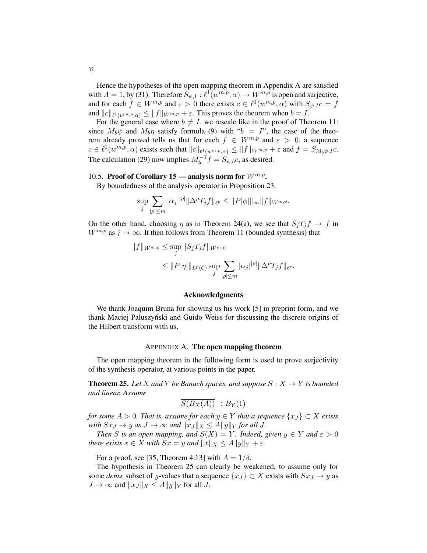Hence the hypotheses of the open mapping theorem in Appendix A are satisfied with  $A = 1$ , by (31). Therefore  $S_{\psi, I} : \ell^1(w^{m,p}, \alpha) \to W^{m,p}$  is open and surjective, and for each  $f \in W^{m,p}$  and  $\varepsilon > 0$  there exists  $c \in \ell^1(w^{m,p}, \alpha)$  with  $S_{\psi,IC} = f$ and  $||c||_{\ell^1(w^{m,p},\alpha)} \leq ||f||_{W^{m,p}} + \varepsilon$ . This proves the theorem when  $b = I$ .

For the general case where  $b \neq I$ , we rescale like in the proof of Theorem 11: since  $M_b\psi$  and  $M_b\eta$  satisfy formula (9) with " $b = I$ ", the case of the theorem already proved tells us that for each  $f \in W^{m,p}$  and  $\varepsilon > 0$ , a sequence  $c \in \ell^1(w^{m,p}, \alpha)$  exists such that  $||c||_{\ell^1(w^{m,p}, \alpha)} \le ||f||_{W^{m,p}} + \varepsilon$  and  $f = S_{M_b\psi,IC}$ . The calculation (29) now implies  $M_b^{-1}f = S_{\psi,b}c$ , as desired.

# 10.5. Proof of Corollary 15 — analysis norm for  $W^{m,p}$ .

By boundedness of the analysis operator in Proposition 23,

$$
\sup_{j} \sum_{|\rho| \leq m} |\alpha_j|^{|\rho|} ||\Delta^{\rho} T_j f||_{\ell^p} \leq ||P|\phi||_{\infty} ||f||_{W^{m,p}}.
$$

On the other hand, choosing  $\eta$  as in Theorem 24(a), we see that  $S_jT_jf \to f$  in  $W^{m,p}$  as  $j \to \infty$ . It then follows from Theorem 11 (bounded synthesis) that

$$
||f||_{W^{m,p}} \leq \sup_{j} ||S_j T_j f||_{W^{m,p}}
$$
  

$$
\leq ||P|\eta||_{L^p(C)} \sup_{j} \sum_{|\rho| \leq m} |\alpha_j|^{|\rho|} ||\Delta^{\rho} T_j f||_{\ell^p}.
$$

### Acknowledgments

We thank Joaquim Bruna for showing us his work [5] in preprint form, and we thank Maciej Paluszyński and Guido Weiss for discussing the discrete origins of the Hilbert transform with us.

#### APPENDIX A. The open mapping theorem

The open mapping theorem in the following form is used to prove surjectivity of the synthesis operator, at various points in the paper.

**Theorem 25.** Let X and Y be Banach spaces, and suppose  $S: X \rightarrow Y$  is bounded *and linear. Assume*

$$
\overline{S(B_X(A))} \supset B_Y(1)
$$

*for some*  $A > 0$ *. That is, assume for each*  $y \in Y$  *that a sequence*  $\{x_J\} \subset X$  *exists with*  $Sx_J \rightarrow y$  *as*  $J \rightarrow \infty$  *and*  $||x_J||_X \leq A||y||_Y$  *for all* J*.* 

*Then S is an open mapping, and*  $S(X) = Y$ *. Indeed, given*  $y \in Y$  *and*  $\varepsilon > 0$ *there exists*  $x \in X$  *with*  $Sx = y$  *and*  $||x||_X \leq A||y||_Y + \varepsilon$ *.* 

For a proof, see [35, Theorem 4.13] with  $A = 1/\delta$ .

The hypothesis in Theorem 25 can clearly be weakened, to assume only for some *dense* subset of y-values that a sequence  $\{x_J\} \subset X$  exists with  $Sx_J \to y$  as  $J \to \infty$  and  $||x_J||_X \le A||y||_Y$  for all J.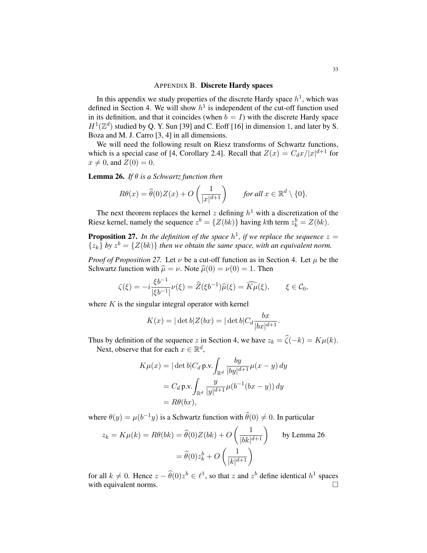### APPENDIX B. Discrete Hardy spaces

In this appendix we study properties of the discrete Hardy space  $h<sup>1</sup>$ , which was defined in Section 4. We will show  $h<sup>1</sup>$  is independent of the cut-off function used in its definition, and that it coincides (when  $b = I$ ) with the discrete Hardy space  $H^1(\mathbb{Z}^d)$  studied by Q. Y. Sun [39] and C. Eoff [16] in dimension 1, and later by S. Boza and M. J. Carro [3, 4] in all dimensions.

We will need the following result on Riesz transforms of Schwartz functions, which is a special case of [4, Corollary 2.4]. Recall that  $Z(x) = C_d x / |x|^{d+1}$  for  $x \neq 0$ , and  $Z(0) = 0$ .

Lemma 26. *If* θ *is a Schwartz function then*

$$
R\theta(x) = \widehat{\theta}(0)Z(x) + O\left(\frac{1}{|x|^{d+1}}\right) \qquad \text{for all } x \in \mathbb{R}^d \setminus \{0\}.
$$

The next theorem replaces the kernel z defining  $h<sup>1</sup>$  with a discretization of the Riesz kernel, namely the sequence  $z^b = \{Z(bk)\}\$  having kth term  $z_k^b = Z(bk)$ .

**Proposition 27.** In the definition of the space  $h^1$ , if we replace the sequence  $z =$  $\{z_k\}$  by  $z^b = \{Z(bk)\}\$  *then we obtain the same space, with an equivalent norm.* 

*Proof of Proposition 27.* Let  $\nu$  be a cut-off function as in Section 4. Let  $\mu$  be the Schwartz function with  $\hat{\mu} = \nu$ . Note  $\hat{\mu}(0) = \nu(0) = 1$ . Then

$$
\zeta(\xi) = -i \frac{\xi b^{-1}}{|\xi b^{-1}|} \nu(\xi) = \widehat{Z}(\xi b^{-1}) \widehat{\mu}(\xi) = \widehat{K\mu}(\xi), \qquad \xi \in \mathcal{C}_0,
$$

where  $K$  is the singular integral operator with kernel

$$
K(x) = |\det b| Z(bx) = |\det b| C_d \frac{bx}{|bx|^{d+1}}.
$$

Thus by definition of the sequence z in Section 4, we have  $z_k = \hat{\zeta}(-k) = K\mu(k)$ . Next, observe that for each  $x \in \mathbb{R}^d$ ,

$$
K\mu(x) = |\det b|C_d \,\text{p.v.} \int_{\mathbb{R}^d} \frac{by}{|by|^{d+1}} \mu(x - y) \, dy
$$

$$
= C_d \,\text{p.v.} \int_{\mathbb{R}^d} \frac{y}{|y|^{d+1}} \mu(b^{-1}(bx - y)) \, dy
$$

$$
= R\theta(bx),
$$

where  $\theta(y) = \mu(b^{-1}y)$  is a Schwartz function with  $\hat{\theta}(0) \neq 0$ . In particular

$$
z_k = K\mu(k) = R\theta(bk) = \hat{\theta}(0)Z(bk) + O\left(\frac{1}{|bk|^{d+1}}\right) \qquad \text{by Lemma 26}
$$

$$
= \hat{\theta}(0)z_k^b + O\left(\frac{1}{|k|^{d+1}}\right)
$$

for all  $k \neq 0$ . Hence  $z - \hat{\theta}(0)z^b \in \ell^1$ , so that z and  $z^b$  define identical  $h^1$  spaces with equivalent norms.  $\Box$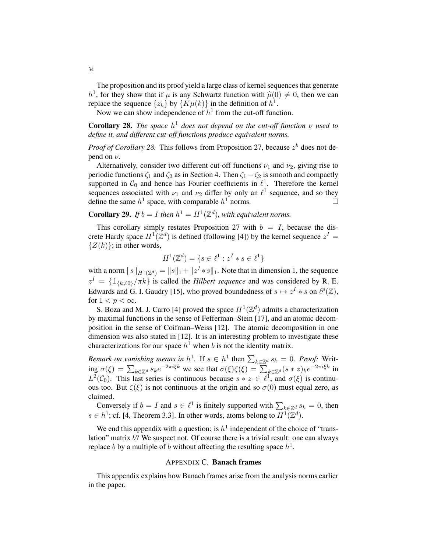The proposition and its proof yield a large class of kernel sequences that generate  $h^1$ , for they show that if  $\mu$  is any Schwartz function with  $\hat{\mu}(0) \neq 0$ , then we can replace the sequence  $\{x_i\}$  by  $\{K_{\mu}(k)\}$  in the definition of  $h^1$ replace the sequence  $\{z_k\}$  by  $\{K\mu(k)\}\$ in the definition of  $h^1$ .

Now we can show independence of  $h^1$  from the cut-off function.

**Corollary 28.** The space  $h^1$  does not depend on the cut-off function  $\nu$  used to *define it, and different cut-off functions produce equivalent norms.*

*Proof of Corollary 28.* This follows from Proposition 27, because  $z^b$  does not depend on  $\nu$ .

Alternatively, consider two different cut-off functions  $\nu_1$  and  $\nu_2$ , giving rise to periodic functions  $\zeta_1$  and  $\zeta_2$  as in Section 4. Then  $\zeta_1 - \zeta_2$  is smooth and compactly supported in  $C_0$  and hence has Fourier coefficients in  $\ell^1$ . Therefore the kernel sequences associated with  $\nu_1$  and  $\nu_2$  differ by only an  $\ell^1$  sequence, and so they define the same  $h^1$  space, with comparable  $h^1$  norms.

**Corollary 29.** If  $b = I$  then  $h^1 = H^1(\mathbb{Z}^d)$ , with equivalent norms.

This corollary simply restates Proposition 27 with  $b = I$ , because the discrete Hardy space  $H^1(\mathbb{Z}^d)$  is defined (following [4]) by the kernel sequence  $z^I =$  $\{Z(k)\}\;$ ; in other words,

$$
H^{1}(\mathbb{Z}^{d}) = \{ s \in \ell^{1} : z^{I} * s \in \ell^{1} \}
$$

with a norm  $||s||_{H^1(\mathbb{Z}^d)} = ||s||_1 + ||z^I * s||_1$ . Note that in dimension 1, the sequence  $z^I = \{\mathbb{1}_{\{k\neq0\}}/\pi k\}$  is called the *Hilbert sequence* and was considered by R. E. Edwards and G. I. Gaudry [15], who proved boundedness of  $s \mapsto z^I * s$  on  $\ell^p(\mathbb{Z})$ , for  $1 < p < \infty$ .

S. Boza and M. J. Carro [4] proved the space  $H^1(\mathbb{Z}^d)$  admits a characterization by maximal functions in the sense of Fefferman–Stein [17], and an atomic decomposition in the sense of Coifman–Weiss [12]. The atomic decomposition in one dimension was also stated in [12]. It is an interesting problem to investigate these characterizations for our space  $h^1$  when b is not the identity matrix.

*Remark on vanishing means in*  $h^1$ . If  $s \in h^1$  then  $\sum_{k \in \mathbb{Z}^d} s_k = 0$ . *Proof:* Writing  $\sigma(\xi) = \sum_{k \in \mathbb{Z}^d} s_k e^{-2\pi i \xi k}$  we see that  $\sigma(\xi)\zeta(\xi) = \sum_{k \in \mathbb{Z}^d} (s * z)_k e^{-2\pi i \xi k}$  in  $L^2(\mathcal{C}_0)$ . This last series is continuous because  $s \times z \in \ell^1$ , and  $\sigma(\xi)$  is continuous too. But  $\zeta(\xi)$  is not continuous at the origin and so  $\sigma(0)$  must equal zero, as claimed.

Conversely if  $b = I$  and  $s \in \ell^1$  is finitely supported with  $\sum_{k \in \mathbb{Z}^d} s_k = 0$ , then  $s \in h^1$ ; cf. [4, Theorem 3.3]. In other words, atoms belong to  $H^1(\mathbb{Z}^d)$ .

We end this appendix with a question: is  $h^1$  independent of the choice of "translation" matrix b? We suspect not. Of course there is a trivial result: one can always replace b by a multiple of b without affecting the resulting space  $h^1$ .

### APPENDIX C. Banach frames

This appendix explains how Banach frames arise from the analysis norms earlier in the paper.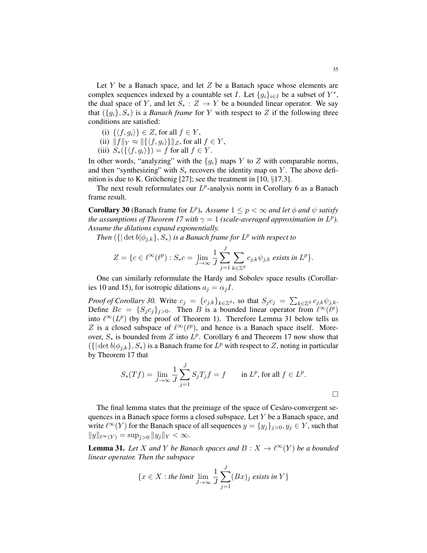Let  $Y$  be a Banach space, and let  $Z$  be a Banach space whose elements are complex sequences indexed by a countable set I. Let  ${g_i}_{i \in I}$  be a subset of  $Y^*$ , the dual space of Y, and let  $S_* : Z \to Y$  be a bounded linear operator. We say that  $({g_i}, S_*)$  is a *Banach frame* for Y with respect to Z if the following three conditions are satisfied:

- (i)  $\{(f, q_i)\}\in Z$ , for all  $f \in Y$ ,
- (ii)  $||f||_Y \approx ||\{\langle f, g_i \rangle\}||_Z$ , for all  $f \in Y$ ,
- (iii)  $S_*({\lbrace \langle f, g_i \rangle \rbrace}) = f$  for all  $f \in Y$ .

In other words, "analyzing" with the  ${g_i}$  maps Y to Z with comparable norms, and then "synthesizing" with  $S_*$  recovers the identity map on Y. The above definition is due to K. Gröchenig [27]; see the treatment in [10,  $\S 17.3$ ].

The next result reformulates our  $L^p$ -analysis norm in Corollary 6 as a Banach frame result.

**Corollary 30** (Banach frame for  $L^p$ ). Assume  $1 \leq p < \infty$  and let  $\phi$  and  $\psi$  satisfy *the assumptions of Theorem 17 with*  $\gamma = 1$  *(scale-averaged approximation in L<sup>p</sup>). Assume the dilations expand exponentially.*

*Then*  $({\{\vert \det b \vert \phi_{j,k}\}, S_*)\}$  *is a Banach frame for*  $L^p$  *with respect to* 

$$
Z = \{c \in \ell^{\infty}(\ell^p) : S_*c = \lim_{J \to \infty} \frac{1}{J} \sum_{j=1}^J \sum_{k \in \mathbb{Z}^d} c_{j,k} \psi_{j,k} \text{ exists in } L^p \}.
$$

One can similarly reformulate the Hardy and Sobolev space results (Corollaries 10 and 15), for isotropic dilations  $a_j = \alpha_j I$ .

*Proof of Corollary 30.* Write  $c_j = \{c_{j,k}\}_{k \in \mathbb{Z}^d}$ , so that  $S_j c_j = \sum_{k \in \mathbb{Z}^d} c_{j,k} \psi_{j,k}$ . Define  $Bc = \{S_j c_j\}_{j>0}$ . Then B is a bounded linear operator from  $\ell^{\infty}(\ell^p)$ into  $\ell^{\infty}(L^p)$  (by the proof of Theorem 1). Therefore Lemma 31 below tells us Z is a closed subspace of  $\ell^{\infty}(\ell^p)$ , and hence is a Banach space itself. Moreover,  $S_*$  is bounded from Z into  $L^p$ . Corollary 6 and Theorem 17 now show that  $({\{|\det b|\phi_{j,k}\}, S_*)\}$  is a Banach frame for  $L^p$  with respect to  $Z$ , noting in particular by Theorem 17 that

$$
S_*(Tf) = \lim_{J \to \infty} \frac{1}{J} \sum_{j=1}^J S_j T_j f = f \quad \text{in } L^p, \text{ for all } f \in L^p.
$$

The final lemma states that the preimage of the space of Cesàro-convergent sequences in a Banach space forms a closed subspace. Let Y be a Banach space, and write  $\ell^{\infty}(Y)$  for the Banach space of all sequences  $y = \{y_j\}_{j>0}, y_j \in Y$ , such that  $||y||_{\ell^{\infty}(Y)} = \sup_{j>0} ||y_j||_Y < \infty.$ 

**Lemma 31.** Let X and Y be Banach spaces and  $B: X \to \ell^{\infty}(Y)$  be a bounded *linear operator. Then the subspace*

$$
\{x \in X : \text{the limit } \lim_{J \to \infty} \frac{1}{J} \sum_{j=1}^{J} (Bx)_j \text{ exists in } Y\}
$$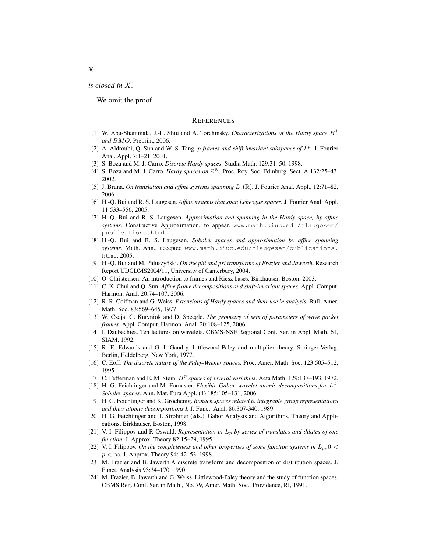*is closed in* X*.*

We omit the proof.

#### **REFERENCES**

- [1] W. Abu-Shammala, J.-L. Shiu and A. Torchinsky. *Characterizations of the Hardy space*  $H<sup>1</sup>$ *and* BMO*.* Preprint, 2006.
- [2] A. Aldroubi, Q. Sun and W.-S. Tang. *p-frames and shift invariant subspaces of*  $L^p$ . J. Fourier Anal. Appl. 7:1–21, 2001.
- [3] S. Boza and M. J. Carro. *Discrete Hardy spaces.* Studia Math. 129:31–50, 1998.
- [4] S. Boza and M. J. Carro. *Hardy spaces on*  $\mathbb{Z}^N$ . Proc. Roy. Soc. Edinburg, Sect. A 132:25-43, 2002.
- [5] J. Bruna. On translation and affine systems spanning  $L^1(\mathbb{R})$ . J. Fourier Anal. Appl., 12:71–82, 2006.
- [6] H.-Q. Bui and R. S. Laugesen. *Affine systems that span Lebesgue spaces.* J. Fourier Anal. Appl. 11:533–556, 2005.
- [7] H.-Q. Bui and R. S. Laugesen. *Approximation and spanning in the Hardy space, by affine systems.* Constructive Approximation, to appear. www.math.uiuc.edu/˜laugesen/ publications.html.
- [8] H.-Q. Bui and R. S. Laugesen. *Sobolev spaces and approximation by affine spanning systems.* Math. Ann., accepted www.math.uiuc.edu/˜laugesen/publications. html, 2005.
- [9] H.-Q. Bui and M. Paluszyński. On the phi and psi transforms of Frazier and Jawerth. Research Report UDCDMS2004/11, University of Canterbury, 2004.
- [10] O. Christensen. An introduction to frames and Riesz bases. Birkhäuser, Boston, 2003.
- [11] C. K. Chui and Q. Sun. *Affine frame decompositions and shift-invariant spaces.* Appl. Comput. Harmon. Anal. 20:74–107, 2006.
- [12] R. R. Coifman and G. Weiss. *Extensions of Hardy spaces and their use in analysis.* Bull. Amer. Math. Soc. 83:569–645, 1977.
- [13] W. Czaja, G. Kutyniok and D. Speegle. *The geometry of sets of parameters of wave packet frames.* Appl. Comput. Harmon. Anal. 20:108–125, 2006.
- [14] I. Daubechies. Ten lectures on wavelets. CBMS-NSF Regional Conf. Ser. in Appl. Math. 61, SIAM, 1992.
- [15] R. E. Edwards and G. I. Gaudry. Littlewood-Paley and multiplier theory. Springer-Verlag, Berlin, Heldelberg, New York, 1977.
- [16] C. Eoff. *The discrete nature of the Paley-Wiener spaces.* Proc. Amer. Math. Soc. 123:505–512, 1995.
- [17] C. Fefferman and E. M. Stein.  $H^p$  spaces of several variables. Acta Math. 129:137-193, 1972.
- [18] H. G. Feichtinger and M. Fornasier. *Flexible Gabor–wavelet atomic decompositions for* L 2 *- Sobolev spaces.* Ann. Mat. Pura Appl. (4) 185:105–131, 2006.
- [19] H. G. Feichtinger and K. Gröchenig. *Banach spaces related to integrable group representations and their atomic decompositions I.* J. Funct. Anal. 86:307-340, 1989.
- [20] H. G. Feichtinger and T. Strohmer (eds.). Gabor Analysis and Algorithms, Theory and Applications. Birkhäuser, Boston, 1998.
- [21] V. I. Filippov and P. Oswald. *Representation in* L<sup>p</sup> *by series of translates and dilates of one function.* J. Approx. Theory 82:15–29, 1995.
- [22] V. I. Filippov. *On the completeness and other properties of some function systems in*  $L_p$ ,  $0 <$  $p < \infty$ . J. Approx. Theory 94: 42–53, 1998.
- [23] M. Frazier and B. Jawerth.A discrete transform and decomposition of distribution spaces. J. Funct. Analysis 93:34–170, 1990.
- [24] M. Frazier, B. Jawerth and G. Weiss. Littlewood-Paley theory and the study of function spaces. CBMS Reg. Conf. Ser. in Math., No. 79, Amer. Math. Soc., Providence, RI, 1991.